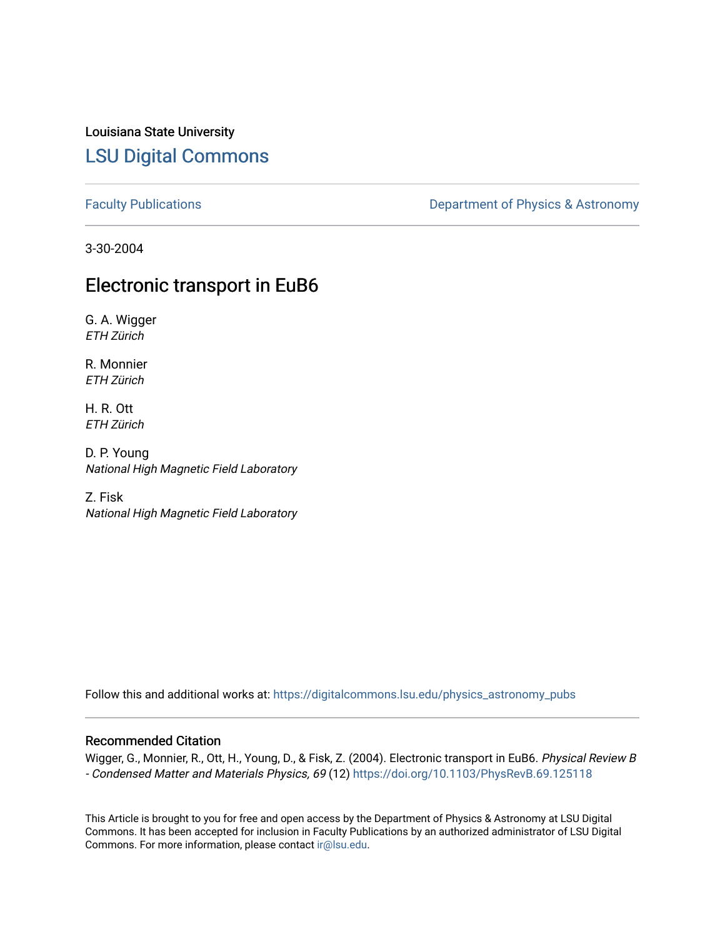# Louisiana State University [LSU Digital Commons](https://digitalcommons.lsu.edu/)

[Faculty Publications](https://digitalcommons.lsu.edu/physics_astronomy_pubs) **Exercise 2** Constant Department of Physics & Astronomy

3-30-2004

# Electronic transport in EuB6

G. A. Wigger ETH Zürich

R. Monnier ETH Zürich

H. R. Ott ETH Zürich

D. P. Young National High Magnetic Field Laboratory

Z. Fisk National High Magnetic Field Laboratory

Follow this and additional works at: [https://digitalcommons.lsu.edu/physics\\_astronomy\\_pubs](https://digitalcommons.lsu.edu/physics_astronomy_pubs?utm_source=digitalcommons.lsu.edu%2Fphysics_astronomy_pubs%2F5979&utm_medium=PDF&utm_campaign=PDFCoverPages) 

## Recommended Citation

Wigger, G., Monnier, R., Ott, H., Young, D., & Fisk, Z. (2004). Electronic transport in EuB6. Physical Review B - Condensed Matter and Materials Physics, 69 (12)<https://doi.org/10.1103/PhysRevB.69.125118>

This Article is brought to you for free and open access by the Department of Physics & Astronomy at LSU Digital Commons. It has been accepted for inclusion in Faculty Publications by an authorized administrator of LSU Digital Commons. For more information, please contact [ir@lsu.edu](mailto:ir@lsu.edu).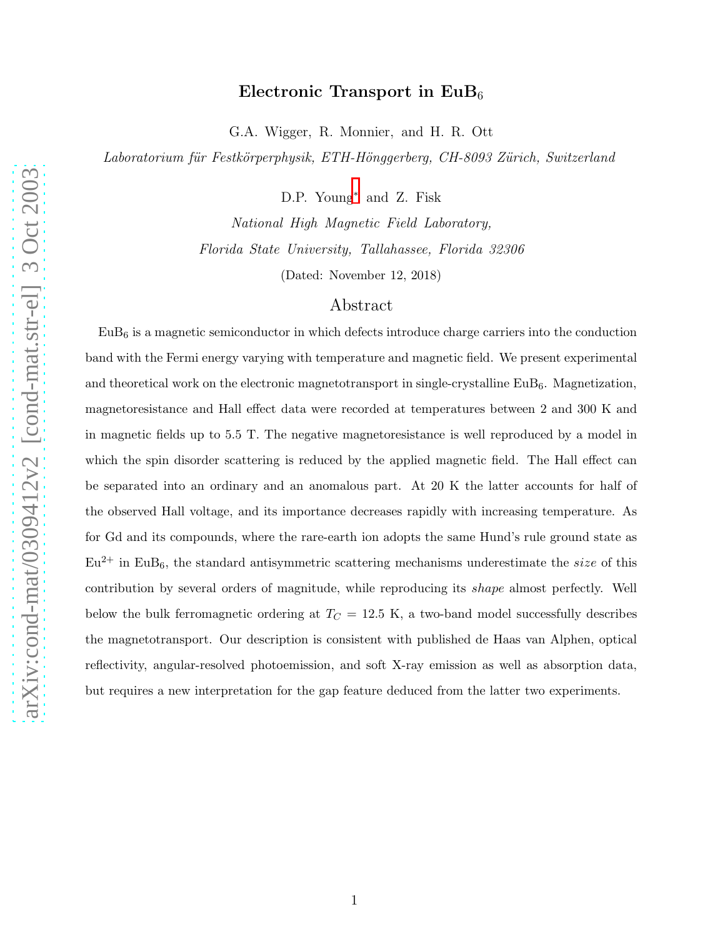## Electronic Transport in  $EuB<sub>6</sub>$

G.A. Wigger, R. Monnier, and H. R. Ott

Laboratorium für Festkörperphysik, ETH-Hönggerberg, CH-8093 Zürich, Switzerland

D.P. Young[∗](#page-22-0) and Z. Fisk

National High Magnetic Field Laboratory, Florida State University, Tallahassee, Florida 32306

(Dated: November 12, 2018)

# Abstract

 $EuB<sub>6</sub>$  is a magnetic semiconductor in which defects introduce charge carriers into the conduction band with the Fermi energy varying with temperature and magnetic field. We present experimental and theoretical work on the electronic magnetotransport in single-crystalline  $\text{EuB}_6$ . Magnetization, magnetoresistance and Hall effect data were recorded at temperatures between 2 and 300 K and in magnetic fields up to 5.5 T. The negative magnetoresistance is well reproduced by a model in which the spin disorder scattering is reduced by the applied magnetic field. The Hall effect can be separated into an ordinary and an anomalous part. At 20 K the latter accounts for half of the observed Hall voltage, and its importance decreases rapidly with increasing temperature. As for Gd and its compounds, where the rare-earth ion adopts the same Hund's rule ground state as  $Eu^{2+}$  in EuB<sub>6</sub>, the standard antisymmetric scattering mechanisms underestimate the *size* of this contribution by several orders of magnitude, while reproducing its shape almost perfectly. Well below the bulk ferromagnetic ordering at  $T<sub>C</sub> = 12.5$  K, a two-band model successfully describes the magnetotransport. Our description is consistent with published de Haas van Alphen, optical reflectivity, angular-resolved photoemission, and soft X-ray emission as well as absorption data, but requires a new interpretation for the gap feature deduced from the latter two experiments.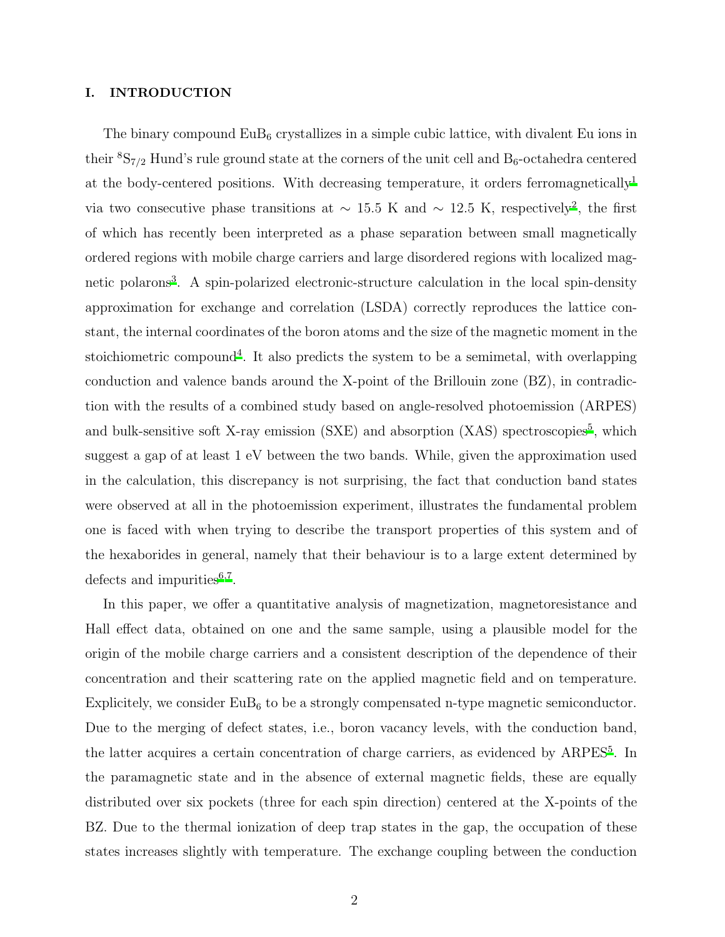#### I. INTRODUCTION

The binary compound  $\text{EuB}_6$  crystallizes in a simple cubic lattice, with divalent Eu ions in their  ${}^{8}S_{7/2}$  Hund's rule ground state at the corners of the unit cell and B<sub>6</sub>-octahedra centered at the body-centered positions. With decreasing temperature, it orders ferromagnetically<sup>[1](#page-22-1)</sup> via two consecutive phase transitions at  $\sim$  15.5 K and  $\sim$  1[2](#page-22-2).5 K, respectively<sup>2</sup>, the first of which has recently been interpreted as a phase separation between small magnetically ordered regions with mobile charge carriers and large disordered regions with localized mag-netic polarons<sup>[3](#page-22-3)</sup>. A spin-polarized electronic-structure calculation in the local spin-density approximation for exchange and correlation (LSDA) correctly reproduces the lattice constant, the internal coordinates of the boron atoms and the size of the magnetic moment in the stoichiometric compound<sup>[4](#page-22-4)</sup>. It also predicts the system to be a semimetal, with overlapping conduction and valence bands around the X-point of the Brillouin zone (BZ), in contradiction with the results of a combined study based on angle-resolved photoemission (ARPES) and bulk-sensitive soft X-ray emission (SXE) and absorption (XAS) spectroscopies<sup>[5](#page-22-5)</sup>, which suggest a gap of at least 1 eV between the two bands. While, given the approximation used in the calculation, this discrepancy is not surprising, the fact that conduction band states were observed at all in the photoemission experiment, illustrates the fundamental problem one is faced with when trying to describe the transport properties of this system and of the hexaborides in general, namely that their behaviour is to a large extent determined by defects and impurities<sup>[6](#page-22-6)[,7](#page-22-7)</sup>.

In this paper, we offer a quantitative analysis of magnetization, magnetoresistance and Hall effect data, obtained on one and the same sample, using a plausible model for the origin of the mobile charge carriers and a consistent description of the dependence of their concentration and their scattering rate on the applied magnetic field and on temperature. Explicitely, we consider  $EuB<sub>6</sub>$  to be a strongly compensated n-type magnetic semiconductor. Due to the merging of defect states, i.e., boron vacancy levels, with the conduction band, the latter acquires a certain concentration of charge carriers, as evidenced by ARPES<sup>[5](#page-22-5)</sup>. In the paramagnetic state and in the absence of external magnetic fields, these are equally distributed over six pockets (three for each spin direction) centered at the X-points of the BZ. Due to the thermal ionization of deep trap states in the gap, the occupation of these states increases slightly with temperature. The exchange coupling between the conduction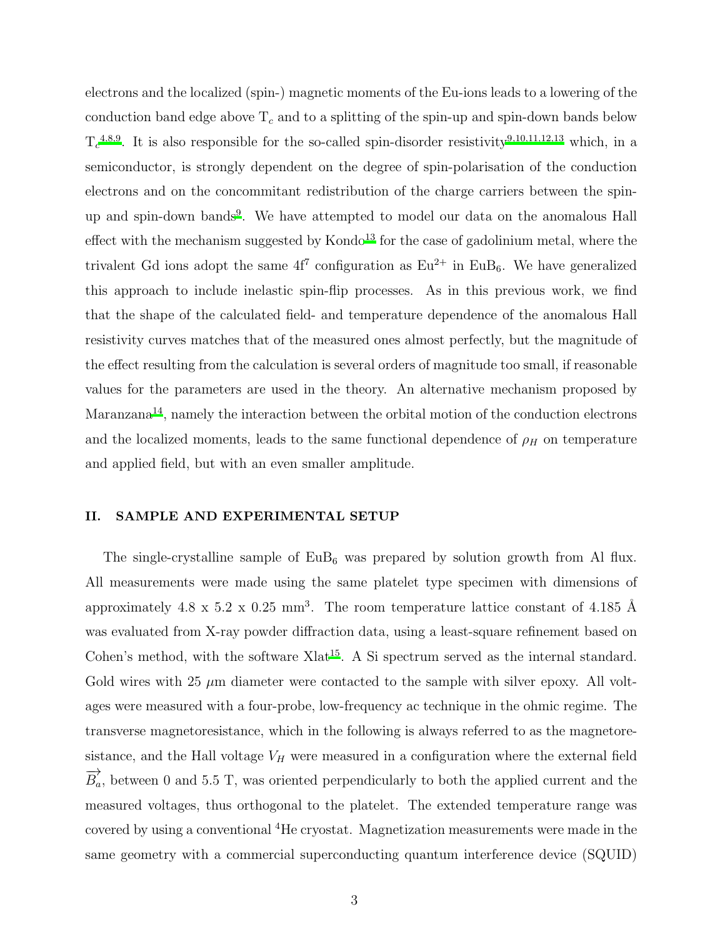electrons and the localized (spin-) magnetic moments of the Eu-ions leads to a lowering of the conduction band edge above  $T_c$  and to a splitting of the spin-up and spin-down bands below  $T_c^{4,8,9}$  $T_c^{4,8,9}$  $T_c^{4,8,9}$  $T_c^{4,8,9}$  $T_c^{4,8,9}$ . It is also responsible for the so-called spin-disorder resistivity<sup>[9](#page-22-9)[,10](#page-22-10)[,11](#page-22-11)[,12](#page-22-12)[,13](#page-22-13)</sup> which, in a semiconductor, is strongly dependent on the degree of spin-polarisation of the conduction electrons and on the concommitant redistribution of the charge carriers between the spin-up and spin-down bands<sup>[9](#page-22-9)</sup>. We have attempted to model our data on the anomalous Hall effect with the mechanism suggested by  $Kondo<sup>13</sup>$  $Kondo<sup>13</sup>$  $Kondo<sup>13</sup>$  for the case of gadolinium metal, where the trivalent Gd ions adopt the same  $4f^7$  configuration as  $Eu^{2+}$  in EuB<sub>6</sub>. We have generalized this approach to include inelastic spin-flip processes. As in this previous work, we find that the shape of the calculated field- and temperature dependence of the anomalous Hall resistivity curves matches that of the measured ones almost perfectly, but the magnitude of the effect resulting from the calculation is several orders of magnitude too small, if reasonable values for the parameters are used in the theory. An alternative mechanism proposed by  $Maranzana<sup>14</sup>$  $Maranzana<sup>14</sup>$  $Maranzana<sup>14</sup>$ , namely the interaction between the orbital motion of the conduction electrons and the localized moments, leads to the same functional dependence of  $\rho_H$  on temperature and applied field, but with an even smaller amplitude.

#### II. SAMPLE AND EXPERIMENTAL SETUP

The single-crystalline sample of  $EuB_6$  was prepared by solution growth from Al flux. All measurements were made using the same platelet type specimen with dimensions of approximately 4.8 x 5.2 x 0.25 mm<sup>3</sup>. The room temperature lattice constant of 4.185 Å was evaluated from X-ray powder diffraction data, using a least-square refinement based on Cohen's method, with the software  $Xlat^{15}$  $Xlat^{15}$  $Xlat^{15}$ . A Si spectrum served as the internal standard. Gold wires with 25  $\mu$ m diameter were contacted to the sample with silver epoxy. All voltages were measured with a four-probe, low-frequency ac technique in the ohmic regime. The transverse magnetoresistance, which in the following is always referred to as the magnetoresistance, and the Hall voltage  $V_H$  were measured in a configuration where the external field  $\overrightarrow{B}_a$ , between 0 and 5.5 T, was oriented perpendicularly to both the applied current and the measured voltages, thus orthogonal to the platelet. The extended temperature range was covered by using a conventional <sup>4</sup>He cryostat. Magnetization measurements were made in the same geometry with a commercial superconducting quantum interference device (SQUID)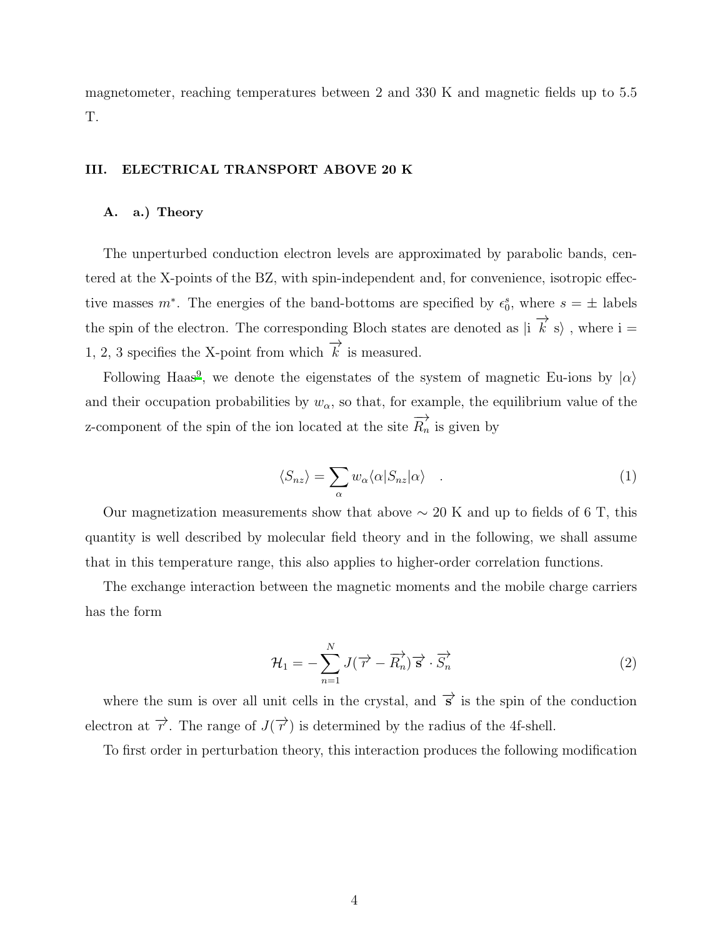magnetometer, reaching temperatures between 2 and 330 K and magnetic fields up to 5.5 T.

## III. ELECTRICAL TRANSPORT ABOVE 20 K

#### A. a.) Theory

The unperturbed conduction electron levels are approximated by parabolic bands, centered at the X-points of the BZ, with spin-independent and, for convenience, isotropic effective masses  $m^*$ . The energies of the band-bottoms are specified by  $\epsilon_0^s$ , where  $s = \pm$  labels the spin of the electron. The corresponding Bloch states are denoted as  $|i \overrightarrow{k} s \rangle$ , where  $i =$ 1, 2, 3 specifies the X-point from which  $\overrightarrow{k}$  is measured.

Following Haas<sup>[9](#page-22-9)</sup>, we denote the eigenstates of the system of magnetic Eu-ions by  $|\alpha\rangle$ and their occupation probabilities by  $w_{\alpha}$ , so that, for example, the equilibrium value of the z-component of the spin of the ion located at the site  $\overrightarrow{R_n}$  is given by

$$
\langle S_{nz} \rangle = \sum_{\alpha} w_{\alpha} \langle \alpha | S_{nz} | \alpha \rangle \quad . \tag{1}
$$

Our magnetization measurements show that above  $\sim 20$  K and up to fields of 6 T, this quantity is well described by molecular field theory and in the following, we shall assume that in this temperature range, this also applies to higher-order correlation functions.

<span id="page-4-0"></span>The exchange interaction between the magnetic moments and the mobile charge carriers has the form

$$
\mathcal{H}_1 = -\sum_{n=1}^N J(\overrightarrow{r} - \overrightarrow{R_n}) \overrightarrow{s} \cdot \overrightarrow{S_n}
$$
 (2)

where the sum is over all unit cells in the crystal, and  $\vec{s}$  is the spin of the conduction electron at  $\vec{r}$ . The range of  $J(\vec{r})$  is determined by the radius of the 4f-shell.

To first order in perturbation theory, this interaction produces the following modification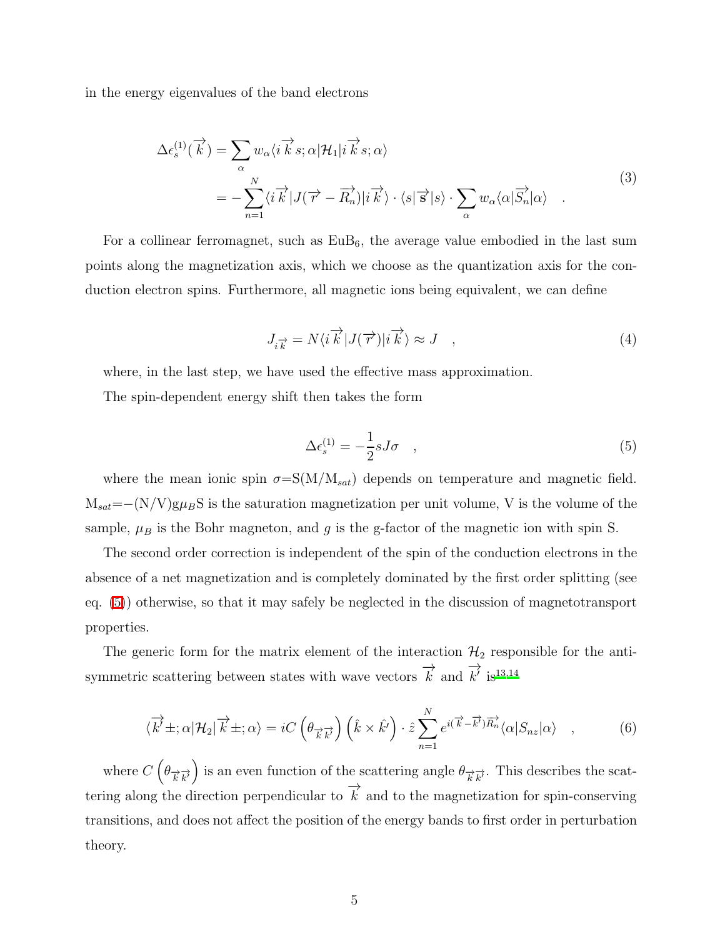in the energy eigenvalues of the band electrons

$$
\Delta \epsilon_s^{(1)}(\overrightarrow{k}) = \sum_{\alpha} w_{\alpha} \langle i \overrightarrow{k} s; \alpha | \mathcal{H}_1 | i \overrightarrow{k} s; \alpha \rangle
$$
  
= 
$$
- \sum_{n=1}^{N} \langle i \overrightarrow{k} | J(\overrightarrow{r} - \overrightarrow{R_n}) | i \overrightarrow{k} \rangle \cdot \langle s | \overrightarrow{s} | s \rangle \cdot \sum_{\alpha} w_{\alpha} \langle \alpha | \overrightarrow{S_n} | \alpha \rangle
$$
 (3)

<span id="page-5-1"></span>For a collinear ferromagnet, such as  $EuB_6$ , the average value embodied in the last sum points along the magnetization axis, which we choose as the quantization axis for the conduction electron spins. Furthermore, all magnetic ions being equivalent, we can define

$$
J_{i\overrightarrow{k}} = N\langle i\overrightarrow{k}|J(\overrightarrow{r})|i\overrightarrow{k}\rangle \approx J \quad , \tag{4}
$$

where, in the last step, we have used the effective mass approximation.

<span id="page-5-0"></span>The spin-dependent energy shift then takes the form

<span id="page-5-2"></span>
$$
\Delta \epsilon_s^{(1)} = -\frac{1}{2} s J \sigma \quad , \tag{5}
$$

where the mean ionic spin  $\sigma = S(M/M_{sat})$  depends on temperature and magnetic field.  $M_{sat}$ =−(N/V)g $\mu$ <sub>B</sub>S is the saturation magnetization per unit volume, V is the volume of the sample,  $\mu_B$  is the Bohr magneton, and g is the g-factor of the magnetic ion with spin S.

The second order correction is independent of the spin of the conduction electrons in the absence of a net magnetization and is completely dominated by the first order splitting (see eq. [\(5\)](#page-5-0)) otherwise, so that it may safely be neglected in the discussion of magnetotransport properties.

The generic form for the matrix element of the interaction  $\mathcal{H}_2$  responsible for the antisymmetric scattering between states with wave vectors  $\overrightarrow{k}$  and  $\overrightarrow{k'}$  is<sup>[13](#page-22-13)[,14](#page-22-14)</sup>

$$
\langle \overrightarrow{k'} \pm; \alpha | \mathcal{H}_2 | \overrightarrow{k} \pm; \alpha \rangle = iC \left( \theta_{\overrightarrow{k}} \overrightarrow{k'} \right) \left( \hat{k} \times \hat{k'} \right) \cdot \hat{z} \sum_{n=1}^N e^{i(\overrightarrow{k} - \overrightarrow{k'}) \overrightarrow{R_n}} \langle \alpha | S_{nz} | \alpha \rangle \quad , \tag{6}
$$

where  $C\left(\theta_{\overrightarrow{k}\overrightarrow{k'}}\right)$  is an even function of the scattering angle  $\theta_{\overrightarrow{k}\overrightarrow{k'}}$ . This describes the scattering along the direction perpendicular to  $\overrightarrow{k}$  and to the magnetization for spin-conserving transitions, and does not affect the position of the energy bands to first order in perturbation theory.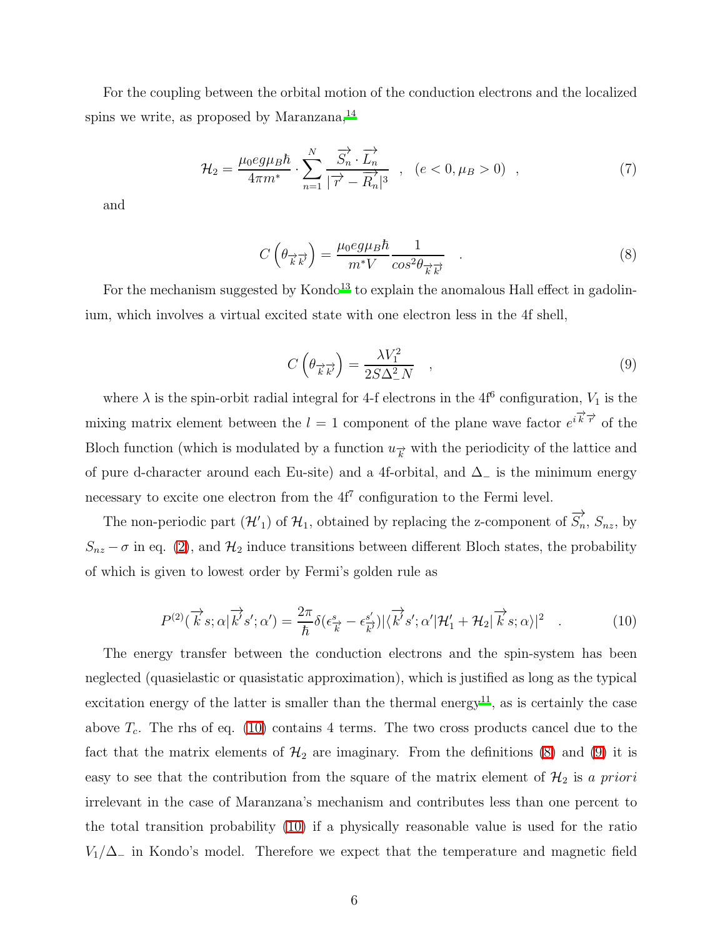For the coupling between the orbital motion of the conduction electrons and the localized spins we write, as proposed by Maranzana,  $^{14}$  $^{14}$  $^{14}$ 

$$
\mathcal{H}_2 = \frac{\mu_0 e g \mu_B \hbar}{4\pi m^*} \cdot \sum_{n=1}^N \frac{\overrightarrow{S_n} \cdot \overrightarrow{L_n}}{|\overrightarrow{r} - \overrightarrow{R_n}|^3} , (e < 0, \mu_B > 0) , \qquad (7)
$$

and

<span id="page-6-1"></span>
$$
C\left(\theta_{\overrightarrow{k}\overrightarrow{k}'}\right) = \frac{\mu_0 e g \mu_B \hbar}{m^* V} \frac{1}{\cos^2 \theta_{\overrightarrow{k}\overrightarrow{k}'}} \quad . \tag{8}
$$

For the mechanism suggested by  $Kondo^{13}$  $Kondo^{13}$  $Kondo^{13}$  to explain the anomalous Hall effect in gadolinium, which involves a virtual excited state with one electron less in the 4f shell,

<span id="page-6-2"></span><span id="page-6-0"></span>
$$
C\left(\theta_{\overrightarrow{k}\overrightarrow{k}'}\right) = \frac{\lambda V_1^2}{2S\Delta_-^2 N} \quad , \tag{9}
$$

where  $\lambda$  is the spin-orbit radial integral for 4-f electrons in the 4<sup>f6</sup> configuration,  $V_1$  is the mixing matrix element between the  $l = 1$  component of the plane wave factor  $e^{i \vec{k} \vec{r}}$  of the Bloch function (which is modulated by a function  $u_{\vec{k}}$  with the periodicity of the lattice and of pure d-character around each Eu-site) and a 4f-orbital, and ∆<sup>−</sup> is the minimum energy necessary to excite one electron from the  $4f^7$  configuration to the Fermi level.

The non-periodic part  $(\mathcal{H}'_1)$  of  $\mathcal{H}_1$ , obtained by replacing the z-component of  $\overrightarrow{S}_n$ ,  $S_{nz}$ , by  $S_{nz} - \sigma$  in eq. [\(2\)](#page-4-0), and  $\mathcal{H}_2$  induce transitions between different Bloch states, the probability of which is given to lowest order by Fermi's golden rule as

$$
P^{(2)}(\overrightarrow{k}s;\alpha|\overrightarrow{k'}s';\alpha') = \frac{2\pi}{\hbar}\delta(\epsilon_{\overrightarrow{k}}^s - \epsilon_{\overrightarrow{k}}^{s'})|\langle \overrightarrow{k'}s';\alpha'|\mathcal{H}_1' + \mathcal{H}_2|\overrightarrow{k}s;\alpha\rangle|^2 \quad . \tag{10}
$$

The energy transfer between the conduction electrons and the spin-system has been neglected (quasielastic or quasistatic approximation), which is justified as long as the typical excitation energy of the latter is smaller than the thermal energy<sup>[11](#page-22-11)</sup>, as is certainly the case above  $T_c$ . The rhs of eq. [\(10\)](#page-6-0) contains 4 terms. The two cross products cancel due to the fact that the matrix elements of  $\mathcal{H}_2$  are imaginary. From the definitions [\(8\)](#page-6-1) and [\(9\)](#page-6-2) it is easy to see that the contribution from the square of the matrix element of  $\mathcal{H}_2$  is a priori irrelevant in the case of Maranzana's mechanism and contributes less than one percent to the total transition probability [\(10\)](#page-6-0) if a physically reasonable value is used for the ratio  $V_1/\Delta_+$  in Kondo's model. Therefore we expect that the temperature and magnetic field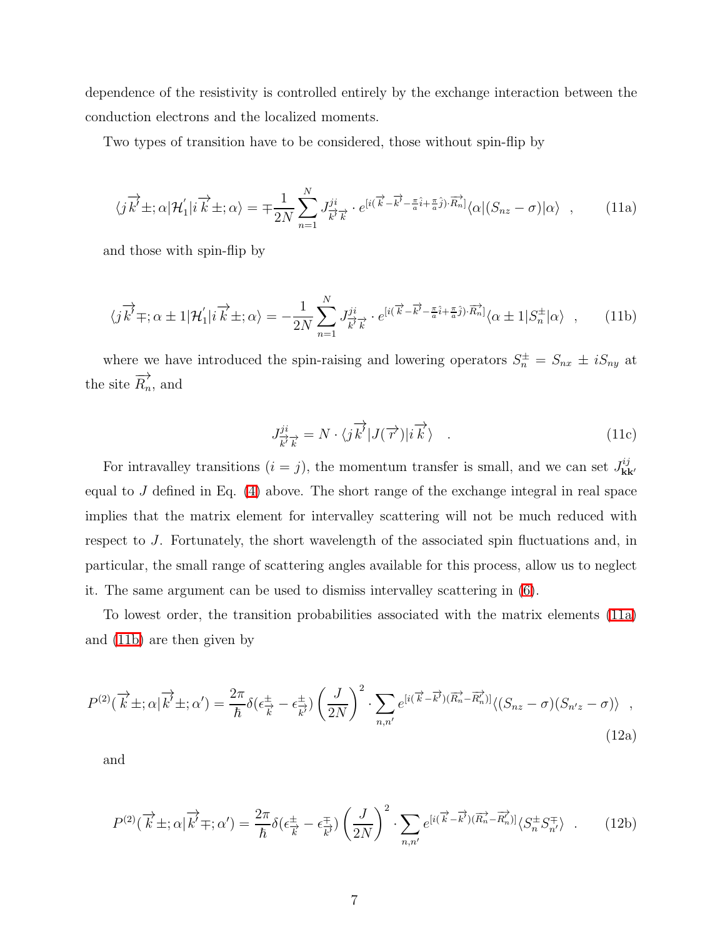dependence of the resistivity is controlled entirely by the exchange interaction between the conduction electrons and the localized moments.

Two types of transition have to be considered, those without spin-flip by

$$
\langle j\overrightarrow{k'}\pm;\alpha|\mathcal{H}_1'|i\overrightarrow{k'}\pm;\alpha\rangle = \mp\frac{1}{2N}\sum_{n=1}^N J_{\overrightarrow{k'}\overrightarrow{k}}^{ji} \cdot e^{[i(\overrightarrow{k}-\overrightarrow{k'}-\frac{\pi}{a}\hat{i}+\frac{\pi}{a}\hat{j})\cdot\overrightarrow{R_n}]} \langle\alpha|(S_{nz}-\sigma)|\alpha\rangle \quad , \tag{11a}
$$

and those with spin-flip by

$$
\langle j\overrightarrow{k'}\mp;\alpha\pm1|\mathcal{H}_1|i\overrightarrow{k'}\pm;\alpha\rangle=-\frac{1}{2N}\sum_{n=1}^N J_{\overrightarrow{k'}}^{ji}\cdot e^{[i(\overrightarrow{k}-\overrightarrow{k'}-\frac{\pi}{a}\hat{i}+\frac{\pi}{a}\hat{j})\cdot\overrightarrow{R_n}]} \langle\alpha\pm1|S_n^{\pm}|\alpha\rangle \quad ,\qquad(11b)
$$

where we have introduced the spin-raising and lowering operators  $S_n^{\pm} = S_{nx} \pm iS_{ny}$  at the site  $\overrightarrow{R_n}$ , and

<span id="page-7-2"></span><span id="page-7-1"></span><span id="page-7-0"></span>
$$
J_{\overrightarrow{k'}\overrightarrow{k}}^{\overrightarrow{j}} = N \cdot \langle j\overrightarrow{k'} | J(\overrightarrow{r}) | i\overrightarrow{k} \rangle \quad . \tag{11c}
$$

For intravalley transitions  $(i = j)$ , the momentum transfer is small, and we can set  $J_{\mathbf{k}\mathbf{k}'}^{ij}$ equal to  $J$  defined in Eq. [\(4\)](#page-5-1) above. The short range of the exchange integral in real space implies that the matrix element for intervalley scattering will not be much reduced with respect to J. Fortunately, the short wavelength of the associated spin fluctuations and, in particular, the small range of scattering angles available for this process, allow us to neglect it. The same argument can be used to dismiss intervalley scattering in [\(6\)](#page-5-2).

To lowest order, the transition probabilities associated with the matrix elements [\(11a\)](#page-7-0) and [\(11b\)](#page-7-1) are then given by

$$
P^{(2)}(\overrightarrow{k} \pm; \alpha | \overrightarrow{k'} \pm; \alpha') = \frac{2\pi}{\hbar} \delta(\epsilon_{\overrightarrow{k}}^{\pm} - \epsilon_{\overrightarrow{k'}}^{\pm}) \left(\frac{J}{2N}\right)^2 \cdot \sum_{n,n'} e^{[i(\overrightarrow{k}} - \overrightarrow{k'}) (\overrightarrow{R_n} - \overrightarrow{R_n})]} \langle (S_{nz} - \sigma)(S_{n'z} - \sigma) \rangle ,
$$
\n(12a)

and

<span id="page-7-3"></span>
$$
P^{(2)}(\overrightarrow{k} \pm; \alpha | \overrightarrow{k'} \mp; \alpha') = \frac{2\pi}{\hbar} \delta(\epsilon \frac{\pm}{\overrightarrow{k}} - \epsilon \frac{\mp}{\overrightarrow{k'}}) \left(\frac{J}{2N}\right)^2 \cdot \sum_{n,n'} e^{[i(\overrightarrow{k} - \overrightarrow{k'})(\overrightarrow{R_n} - \overrightarrow{R_n'})]} \langle S_n^{\pm} S_{n'}^{\mp} \rangle . \tag{12b}
$$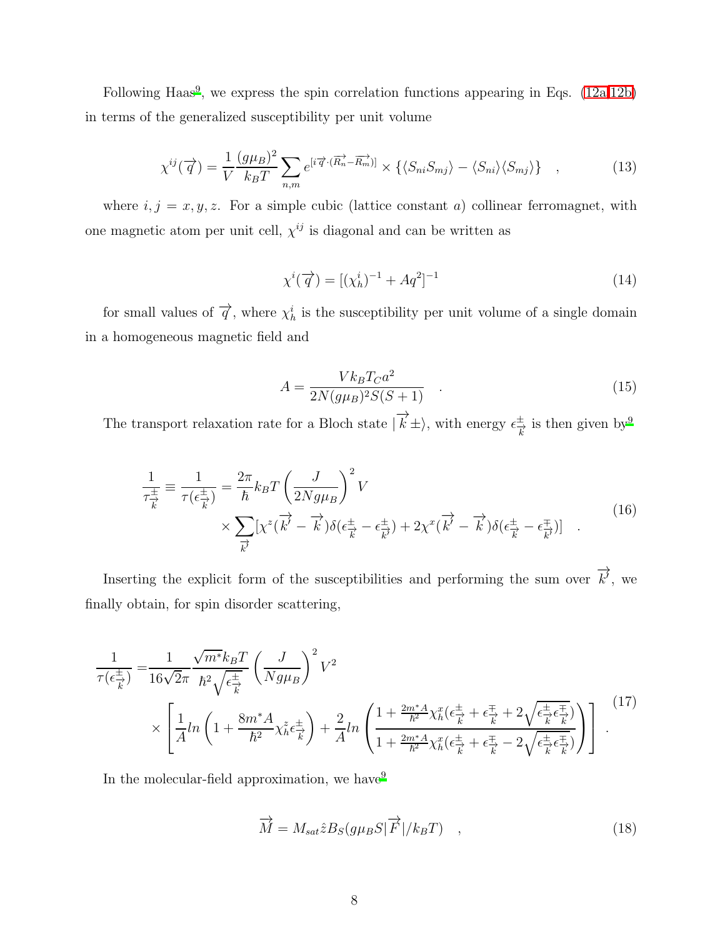Following Haas<sup>[9](#page-22-9)</sup>, we express the spin correlation functions appearing in Eqs.  $(12a,12b)$  $(12a,12b)$ in terms of the generalized susceptibility per unit volume

$$
\chi^{ij}(\overrightarrow{q}) = \frac{1}{V} \frac{(g\mu_B)^2}{k_B T} \sum_{n,m} e^{[i\overrightarrow{q}\cdot(\overrightarrow{R_n} - \overrightarrow{R_m})]} \times \{ \langle S_{ni} S_{mj} \rangle - \langle S_{ni} \rangle \langle S_{mj} \rangle \}, \qquad (13)
$$

where  $i, j = x, y, z$ . For a simple cubic (lattice constant a) collinear ferromagnet, with one magnetic atom per unit cell,  $\chi^{ij}$  is diagonal and can be written as

<span id="page-8-0"></span>
$$
\chi^{i}(\overrightarrow{q}) = [(\chi^{i}_{h})^{-1} + Aq^{2}]^{-1}
$$
\n(14)

for small values of  $\overrightarrow{q}$ , where  $\chi^i_h$  is the susceptibility per unit volume of a single domain in a homogeneous magnetic field and

<span id="page-8-1"></span>
$$
A = \frac{Vk_B T_C a^2}{2N(g\mu_B)^2 S(S+1)} \quad . \tag{15}
$$

The transport relaxation rate for a Bloch state  $|\vec{k} \pm \rangle$ , with energy  $\epsilon_{\vec{k}}^{\pm}$  is then given by<sup>[9](#page-22-9)</sup>

$$
\frac{1}{\tau_{\vec{k}}^{\pm}} \equiv \frac{1}{\tau(\epsilon_{\vec{k}}^{\pm})} = \frac{2\pi}{\hbar} k_B T \left(\frac{J}{2Ng\mu_B}\right)^2 V
$$
\n
$$
\times \sum_{\vec{k}} [\chi^z(\vec{k} - \vec{k}) \delta(\epsilon_{\vec{k}}^{\pm} - \epsilon_{\vec{k}}^{\pm}) + 2\chi^x(\vec{k} - \vec{k}) \delta(\epsilon_{\vec{k}}^{\pm} - \epsilon_{\vec{k}}^{\pm})] \quad .
$$
\n(16)

Inserting the explicit form of the susceptibilities and performing the sum over  $\overrightarrow{k'}$ , we finally obtain, for spin disorder scattering,

$$
\frac{1}{\tau(\epsilon_{\vec{k}}^{\pm})} = \frac{1}{16\sqrt{2}\pi} \frac{\sqrt{m^*} k_B T}{\hbar^2 \sqrt{\epsilon_{\vec{k}}^{\pm}}} \left(\frac{J}{Ng\mu_B}\right)^2 V^2
$$
\n
$$
\times \left[ \frac{1}{A} ln \left(1 + \frac{8m^* A}{\hbar^2} \chi_h^z \epsilon_{\vec{k}}^{\pm} \right) + \frac{2}{A} ln \left( \frac{1 + \frac{2m^* A}{\hbar^2} \chi_h^x (\epsilon_{\vec{k}}^{\pm} + \epsilon_{\vec{k}}^{\mp} + 2 \sqrt{\epsilon_{\vec{k}}^{\pm} \epsilon_{\vec{k}}^{\mp}})}{1 + \frac{2m^* A}{\hbar^2} \chi_h^x (\epsilon_{\vec{k}}^{\pm} + \epsilon_{\vec{k}}^{\mp} - 2 \sqrt{\epsilon_{\vec{k}}^{\pm} \epsilon_{\vec{k}}^{\mp}})} \right) \right]
$$
\n
$$
(17)
$$

In the molecular-field approximation, we have<sup>[9](#page-22-9)</sup>

<span id="page-8-3"></span><span id="page-8-2"></span>
$$
\overrightarrow{M} = M_{sat} \hat{z} B_S(g\mu_B S | \overrightarrow{F}|/k_B T) , \qquad (18)
$$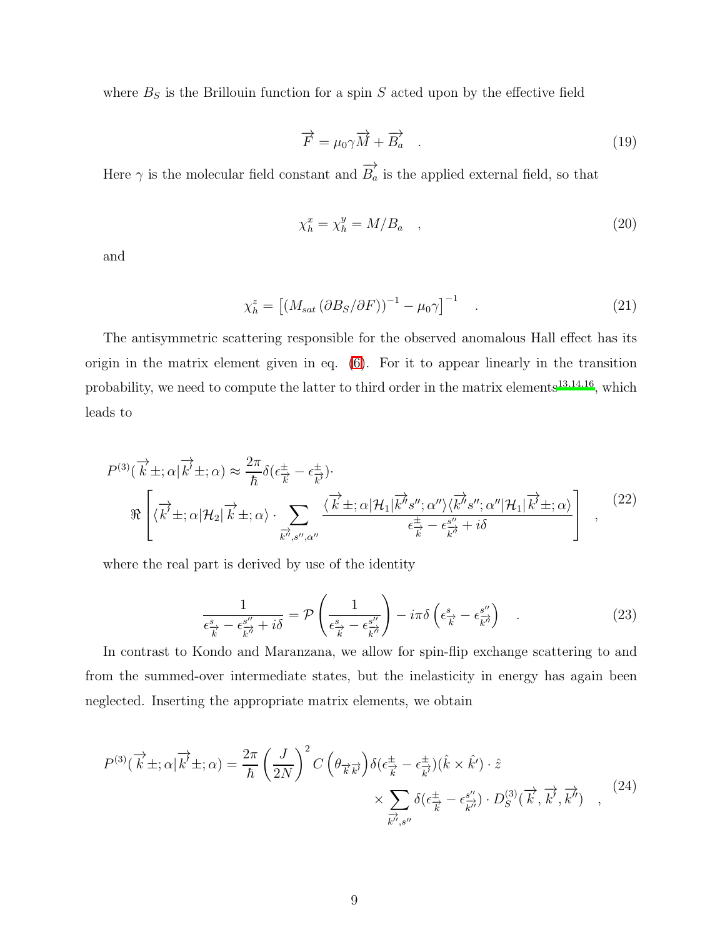where  $B<sub>S</sub>$  is the Brillouin function for a spin  $S$  acted upon by the effective field

$$
\overrightarrow{F} = \mu_0 \gamma \overrightarrow{M} + \overrightarrow{B_a} \quad . \tag{19}
$$

Here  $\gamma$  is the molecular field constant and  $\overrightarrow{B}_a$  is the applied external field, so that

<span id="page-9-2"></span><span id="page-9-1"></span>
$$
\chi_h^x = \chi_h^y = M/B_a \quad , \tag{20}
$$

and

$$
\chi_h^z = \left[ \left( M_{sat} \left( \partial B_S / \partial F \right) \right)^{-1} - \mu_0 \gamma \right]^{-1} \tag{21}
$$

The antisymmetric scattering responsible for the observed anomalous Hall effect has its origin in the matrix element given in eq. [\(6\)](#page-5-2). For it to appear linearly in the transition probability, we need to compute the latter to third order in the matrix elements<sup>[13](#page-22-13)[,14](#page-22-14)[,16](#page-22-16)</sup>, which leads to

$$
P^{(3)}(\overrightarrow{k} \pm; \alpha | \overrightarrow{k'} \pm; \alpha) \approx \frac{2\pi}{\hbar} \delta(\epsilon_{\overrightarrow{k}}^{\pm} - \epsilon_{\overrightarrow{k}}^{\pm}).
$$
  

$$
\Re\left[ \langle \overrightarrow{k'} \pm; \alpha | \mathcal{H}_2 | \overrightarrow{k} \pm; \alpha \rangle \cdot \sum_{\overrightarrow{k''}, s'', \alpha''} \frac{\langle \overrightarrow{k} \pm; \alpha | \mathcal{H}_1 | \overrightarrow{k''} s'', \alpha'' \rangle \langle \overrightarrow{k''} s''; \alpha'' | \mathcal{H}_1 | \overrightarrow{k'} \pm; \alpha \rangle}{\epsilon_{\overrightarrow{k}}^{\pm} - \epsilon_{\overrightarrow{k''}}^{s''} + i\delta} \right], \quad (22)
$$

where the real part is derived by use of the identity

<span id="page-9-0"></span>
$$
\frac{1}{\epsilon_{\overrightarrow{k}}^s - \epsilon_{\overrightarrow{k'}}^{s''} + i\delta} = \mathcal{P}\left(\frac{1}{\epsilon_{\overrightarrow{k}}^s - \epsilon_{\overrightarrow{k'}}^{s''}}\right) - i\pi\delta\left(\epsilon_{\overrightarrow{k}}^s - \epsilon_{\overrightarrow{k''}}^{s''}\right) \quad . \tag{23}
$$

In contrast to Kondo and Maranzana, we allow for spin-flip exchange scattering to and from the summed-over intermediate states, but the inelasticity in energy has again been neglected. Inserting the appropriate matrix elements, we obtain

$$
P^{(3)}(\overrightarrow{k} \pm; \alpha | \overrightarrow{k'} \pm; \alpha) = \frac{2\pi}{\hbar} \left(\frac{J}{2N}\right)^2 C \left(\theta_{\overrightarrow{k}} \overrightarrow{k'}\right) \delta(\epsilon_{\overrightarrow{k}}^{\pm} - \epsilon_{\overrightarrow{k'}}^{\pm}) (\hat{k} \times \hat{k'}) \cdot \hat{z} \times \sum_{\overrightarrow{k'}, s''} \delta(\epsilon_{\overrightarrow{k}}^{\pm} - \epsilon_{\overrightarrow{k'}}^{s''}) \cdot D_S^{(3)}(\overrightarrow{k}, \overrightarrow{k'}, \overrightarrow{k'}) \quad , \tag{24}
$$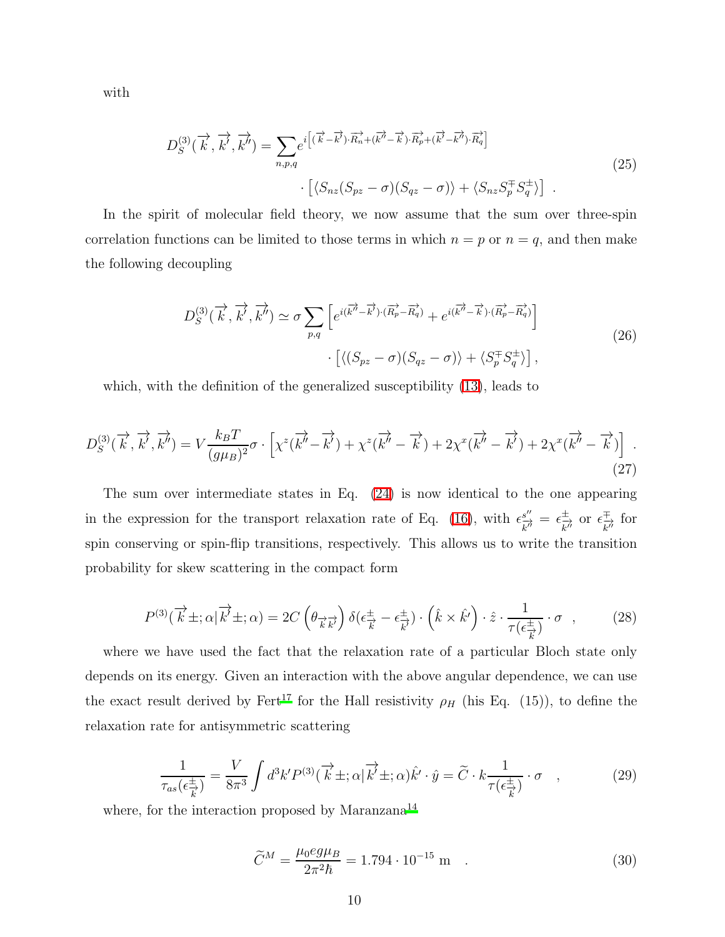with

$$
D_S^{(3)}(\overrightarrow{k}, \overrightarrow{k'}, \overrightarrow{k'}) = \sum_{n, p, q} e^{i\left[ (\overrightarrow{k} - \overrightarrow{k'}) \cdot \overrightarrow{R_n} + (\overrightarrow{k'} - \overrightarrow{k}) \cdot \overrightarrow{R_p} + (\overrightarrow{k'} - \overrightarrow{k''}) \cdot \overrightarrow{R_q} \right]}
$$
  
 
$$
\cdot \left[ \langle S_{nz}(S_{pz} - \sigma)(S_{qz} - \sigma) \rangle + \langle S_{nz} S_p^{\mp} S_q^{\pm} \rangle \right] .
$$
 (25)

In the spirit of molecular field theory, we now assume that the sum over three-spin correlation functions can be limited to those terms in which  $n = p$  or  $n = q$ , and then make the following decoupling

$$
D_S^{(3)}(\overrightarrow{k}, \overrightarrow{k'}, \overrightarrow{k'}) \simeq \sigma \sum_{p,q} \left[ e^{i(\overrightarrow{k''} - \overrightarrow{k'}) \cdot (\overrightarrow{R_p} - \overrightarrow{R_q})} + e^{i(\overrightarrow{k''} - \overrightarrow{k}) \cdot (\overrightarrow{R_p} - \overrightarrow{R_q})} \right] \cdot \left[ \langle (S_{pz} - \sigma)(S_{qz} - \sigma) \rangle + \langle S_p^{\mp} S_q^{\pm} \rangle \right],
$$
\n(26)

which, with the definition of the generalized susceptibility  $(13)$ , leads to

$$
D_S^{(3)}(\overrightarrow{k}, \overrightarrow{k'}, \overrightarrow{k'}) = V \frac{k_B T}{(g \mu_B)^2} \sigma \cdot \left[ \chi^z(\overrightarrow{k'} - \overrightarrow{k'}) + \chi^z(\overrightarrow{k''} - \overrightarrow{k}) + 2\chi^x(\overrightarrow{k''} - \overrightarrow{k'}) + 2\chi^x(\overrightarrow{k''} - \overrightarrow{k'}) \right].
$$
\n(27)

The sum over intermediate states in Eq. [\(24\)](#page-9-0) is now identical to the one appearing in the expression for the transport relaxation rate of Eq. [\(16\)](#page-8-1), with  $\epsilon_{\vec{k'}}^{s''} = \epsilon_{\vec{k'}}^{\pm}$  or  $\epsilon_{\vec{k'}}^{\pm}$  for spin conserving or spin-flip transitions, respectively. This allows us to write the transition probability for skew scattering in the compact form

$$
P^{(3)}(\overrightarrow{k} \pm; \alpha | \overrightarrow{k'} \pm; \alpha) = 2C \left(\theta_{\overrightarrow{k} \overrightarrow{k'}}\right) \delta(\epsilon_{\overrightarrow{k}}^{\pm} - \epsilon_{\overrightarrow{k'}}^{\pm}) \cdot \left(\hat{k} \times \hat{k'}\right) \cdot \hat{z} \cdot \frac{1}{\tau(\epsilon_{\overrightarrow{k}}^{\pm})} \cdot \sigma , \qquad (28)
$$

where we have used the fact that the relaxation rate of a particular Bloch state only depends on its energy. Given an interaction with the above angular dependence, we can use the exact result derived by Fert<sup>[17](#page-22-17)</sup> for the Hall resistivity  $\rho_H$  (his Eq. (15)), to define the relaxation rate for antisymmetric scattering

$$
\frac{1}{\tau_{as}(\epsilon_{\vec{k}}^{\pm})} = \frac{V}{8\pi^3} \int d^3k' P^{(3)}(\vec{k} \pm; \alpha | \vec{k'} \pm; \alpha) \hat{k'} \cdot \hat{y} = \tilde{C} \cdot k \frac{1}{\tau(\epsilon_{\vec{k}}^{\pm})} \cdot \sigma \quad , \tag{29}
$$

where, for the interaction proposed by Maranzana<sup>[14](#page-22-14)</sup>

<span id="page-10-1"></span><span id="page-10-0"></span>
$$
\widetilde{C}^{M} = \frac{\mu_0 e g \mu_B}{2\pi^2 \hbar} = 1.794 \cdot 10^{-15} \text{ m} \quad . \tag{30}
$$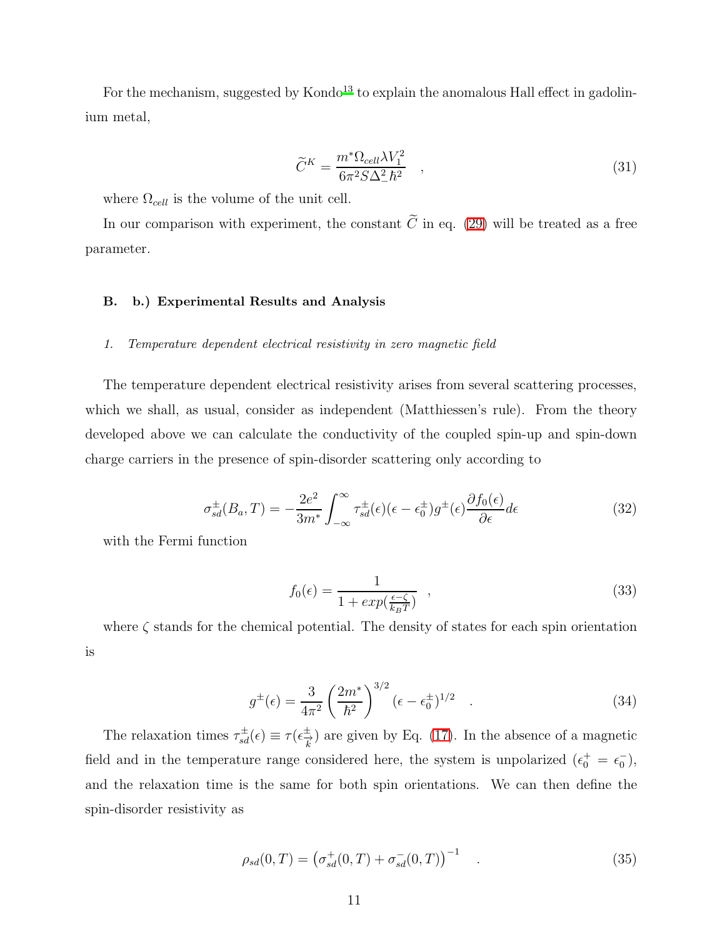For the mechanism, suggested by  $Kondo^{13}$  $Kondo^{13}$  $Kondo^{13}$  to explain the anomalous Hall effect in gadolinium metal,

$$
\widetilde{C}^K = \frac{m^* \Omega_{cell} \lambda V_1^2}{6\pi^2 S \Delta_{-}^2 \hbar^2} \quad , \tag{31}
$$

where  $\Omega_{cell}$  is the volume of the unit cell.

In our comparison with experiment, the constant  $\widetilde{C}$  in eq. [\(29\)](#page-10-0) will be treated as a free parameter.

### B. b.) Experimental Results and Analysis

### 1. Temperature dependent electrical resistivity in zero magnetic field

The temperature dependent electrical resistivity arises from several scattering processes, which we shall, as usual, consider as independent (Matthiessen's rule). From the theory developed above we can calculate the conductivity of the coupled spin-up and spin-down charge carriers in the presence of spin-disorder scattering only according to

$$
\sigma_{sd}^{\pm}(B_a, T) = -\frac{2e^2}{3m^*} \int_{-\infty}^{\infty} \tau_{sd}^{\pm}(\epsilon) (\epsilon - \epsilon_0^{\pm}) g^{\pm}(\epsilon) \frac{\partial f_0(\epsilon)}{\partial \epsilon} d\epsilon \tag{32}
$$

with the Fermi function

<span id="page-11-0"></span>
$$
f_0(\epsilon) = \frac{1}{1 + exp(\frac{\epsilon - \zeta}{k_B T})},
$$
\n(33)

where  $\zeta$  stands for the chemical potential. The density of states for each spin orientation is

$$
g^{\pm}(\epsilon) = \frac{3}{4\pi^2} \left(\frac{2m^*}{\hbar^2}\right)^{3/2} (\epsilon - \epsilon_0^{\pm})^{1/2} \quad . \tag{34}
$$

The relaxation times  $\tau_{sd}^{\pm}(\epsilon) \equiv \tau(\epsilon_{\vec{k}}^{\pm})$  are given by Eq. [\(17\)](#page-8-2). In the absence of a magnetic field and in the temperature range considered here, the system is unpolarized  $(\epsilon_0^+ = \epsilon_0^-)$  $_{0}^{-}$ ), and the relaxation time is the same for both spin orientations. We can then define the spin-disorder resistivity as

$$
\rho_{sd}(0,T) = (\sigma_{sd}^+(0,T) + \sigma_{sd}^-(0,T))^{-1} \quad . \tag{35}
$$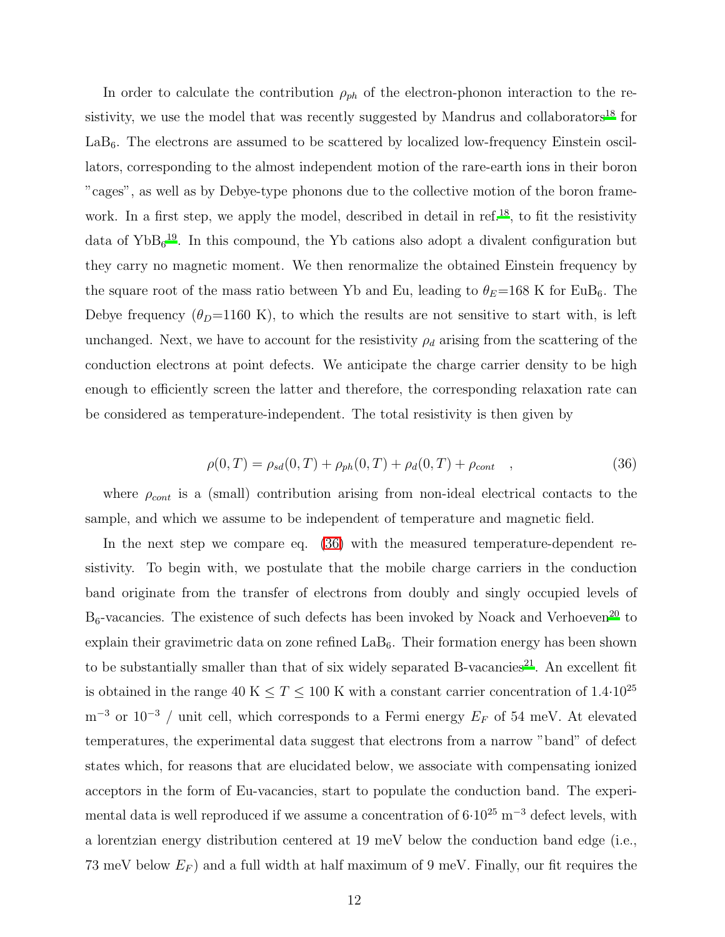In order to calculate the contribution  $\rho_{ph}$  of the electron-phonon interaction to the re-sistivity, we use the model that was recently suggested by Mandrus and collaborators<sup>[18](#page-22-18)</sup> for  $LaB<sub>6</sub>$ . The electrons are assumed to be scattered by localized low-frequency Einstein oscillators, corresponding to the almost independent motion of the rare-earth ions in their boron "cages", as well as by Debye-type phonons due to the collective motion of the boron frame-work. In a first step, we apply the model, described in detail in ref.<sup>[18](#page-22-18)</sup>, to fit the resistivity data of  $YbB<sub>6</sub><sup>19</sup>$  $YbB<sub>6</sub><sup>19</sup>$  $YbB<sub>6</sub><sup>19</sup>$ . In this compound, the Yb cations also adopt a divalent configuration but they carry no magnetic moment. We then renormalize the obtained Einstein frequency by the square root of the mass ratio between Yb and Eu, leading to  $\theta_E=168$  K for EuB<sub>6</sub>. The Debye frequency  $(\theta_D=1160 \text{ K})$ , to which the results are not sensitive to start with, is left unchanged. Next, we have to account for the resistivity  $\rho_d$  arising from the scattering of the conduction electrons at point defects. We anticipate the charge carrier density to be high enough to efficiently screen the latter and therefore, the corresponding relaxation rate can be considered as temperature-independent. The total resistivity is then given by

<span id="page-12-0"></span>
$$
\rho(0,T) = \rho_{sd}(0,T) + \rho_{ph}(0,T) + \rho_d(0,T) + \rho_{cont} \quad , \tag{36}
$$

where  $\rho_{cont}$  is a (small) contribution arising from non-ideal electrical contacts to the sample, and which we assume to be independent of temperature and magnetic field.

In the next step we compare eq. [\(36\)](#page-12-0) with the measured temperature-dependent resistivity. To begin with, we postulate that the mobile charge carriers in the conduction band originate from the transfer of electrons from doubly and singly occupied levels of  $\mathrm{B}_6\text{-}$  vacancies. The existence of such defects has been invoked by Noack and Verhoeven<sup>[20](#page-22-20)</sup> to explain their gravimetric data on zone refined  $LaB<sub>6</sub>$ . Their formation energy has been shown to be substantially smaller than that of six widely separated B-vacancies<sup>[21](#page-22-21)</sup>. An excellent fit is obtained in the range 40 K  $\leq T \leq 100$  K with a constant carrier concentration of 1.4·10<sup>25</sup> m<sup>-3</sup> or 10<sup>-3</sup> / unit cell, which corresponds to a Fermi energy  $E_F$  of 54 meV. At elevated temperatures, the experimental data suggest that electrons from a narrow "band" of defect states which, for reasons that are elucidated below, we associate with compensating ionized acceptors in the form of Eu-vacancies, start to populate the conduction band. The experimental data is well reproduced if we assume a concentration of  $6·10^{25}$  m<sup>-3</sup> defect levels, with a lorentzian energy distribution centered at 19 meV below the conduction band edge (i.e., 73 meV below  $E_F$ ) and a full width at half maximum of 9 meV. Finally, our fit requires the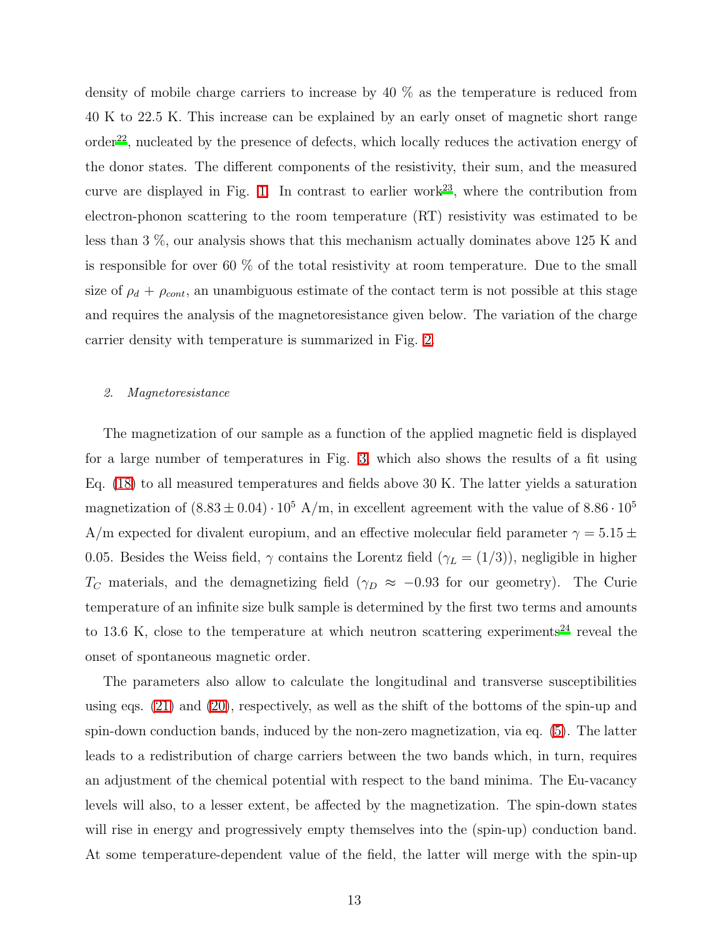density of mobile charge carriers to increase by 40 % as the temperature is reduced from 40 K to 22.5 K. This increase can be explained by an early onset of magnetic short range order<sup>[22](#page-22-22)</sup>, nucleated by the presence of defects, which locally reduces the activation energy of the donor states. The different components of the resistivity, their sum, and the measured curve are displayed in Fig. [1.](#page-24-0) In contrast to earlier work<sup>[23](#page-23-0)</sup>, where the contribution from electron-phonon scattering to the room temperature (RT) resistivity was estimated to be less than 3 %, our analysis shows that this mechanism actually dominates above 125 K and is responsible for over 60  $\%$  of the total resistivity at room temperature. Due to the small size of  $\rho_d + \rho_{cont}$ , an unambiguous estimate of the contact term is not possible at this stage and requires the analysis of the magnetoresistance given below. The variation of the charge carrier density with temperature is summarized in Fig. [2.](#page-25-0)

#### 2. Magnetoresistance

The magnetization of our sample as a function of the applied magnetic field is displayed for a large number of temperatures in Fig. [3,](#page-26-0) which also shows the results of a fit using Eq. [\(18\)](#page-8-3) to all measured temperatures and fields above 30 K. The latter yields a saturation magnetization of  $(8.83 \pm 0.04) \cdot 10^5$  A/m, in excellent agreement with the value of  $8.86 \cdot 10^5$ A/m expected for divalent europium, and an effective molecular field parameter  $\gamma = 5.15 \pm$ 0.05. Besides the Weiss field,  $\gamma$  contains the Lorentz field  $(\gamma_L = (1/3))$ , negligible in higher  $T_C$  materials, and the demagnetizing field ( $\gamma_D \approx -0.93$  for our geometry). The Curie temperature of an infinite size bulk sample is determined by the first two terms and amounts to 13.6 K, close to the temperature at which neutron scattering experiments<sup>[24](#page-23-1)</sup> reveal the onset of spontaneous magnetic order.

The parameters also allow to calculate the longitudinal and transverse susceptibilities using eqs. [\(21\)](#page-9-1) and [\(20\)](#page-9-2), respectively, as well as the shift of the bottoms of the spin-up and spin-down conduction bands, induced by the non-zero magnetization, via eq. [\(5\)](#page-5-0). The latter leads to a redistribution of charge carriers between the two bands which, in turn, requires an adjustment of the chemical potential with respect to the band minima. The Eu-vacancy levels will also, to a lesser extent, be affected by the magnetization. The spin-down states will rise in energy and progressively empty themselves into the (spin-up) conduction band. At some temperature-dependent value of the field, the latter will merge with the spin-up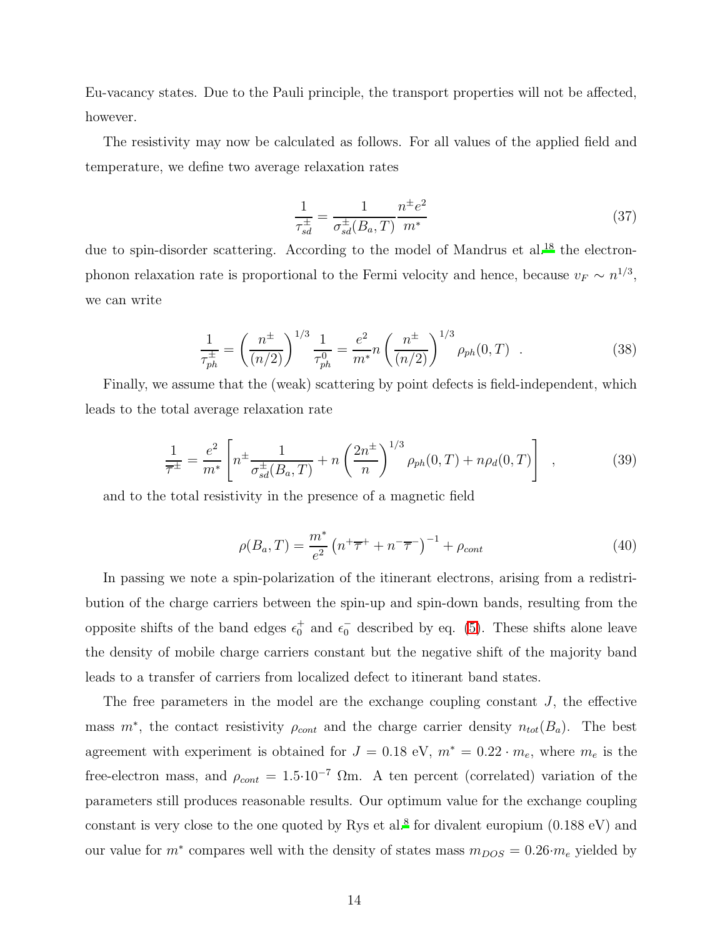Eu-vacancy states. Due to the Pauli principle, the transport properties will not be affected, however.

The resistivity may now be calculated as follows. For all values of the applied field and temperature, we define two average relaxation rates

$$
\frac{1}{\tau_{sd}^{\pm}} = \frac{1}{\sigma_{sd}^{\pm}(B_a, T)} \frac{n^{\pm} e^2}{m^*}
$$
\n(37)

due to spin-disorder scattering. According to the model of Mandrus et al.<sup>[18](#page-22-18)</sup> the electronphonon relaxation rate is proportional to the Fermi velocity and hence, because  $v_F \sim n^{1/3}$ , we can write

$$
\frac{1}{\tau_{ph}^{\pm}} = \left(\frac{n^{\pm}}{(n/2)}\right)^{1/3} \frac{1}{\tau_{ph}^{0}} = \frac{e^{2}}{m^{*}} n \left(\frac{n^{\pm}}{(n/2)}\right)^{1/3} \rho_{ph}(0, T) . \tag{38}
$$

Finally, we assume that the (weak) scattering by point defects is field-independent, which leads to the total average relaxation rate

$$
\frac{1}{\overline{\tau}^{\pm}} = \frac{e^2}{m^*} \left[ n^{\pm} \frac{1}{\sigma_{sd}^{\pm}(B_a, T)} + n \left( \frac{2n^{\pm}}{n} \right)^{1/3} \rho_{ph}(0, T) + n \rho_d(0, T) \right] , \qquad (39)
$$

and to the total resistivity in the presence of a magnetic field

$$
\rho(B_a, T) = \frac{m^*}{e^2} \left( n^+ \overline{\tau}^+ + n^- \overline{\tau}^- \right)^{-1} + \rho_{cont} \tag{40}
$$

In passing we note a spin-polarization of the itinerant electrons, arising from a redistribution of the charge carriers between the spin-up and spin-down bands, resulting from the opposite shifts of the band edges  $\epsilon_0^+$  and  $\epsilon_0^-$  described by eq. [\(5\)](#page-5-0). These shifts alone leave the density of mobile charge carriers constant but the negative shift of the majority band leads to a transfer of carriers from localized defect to itinerant band states.

The free parameters in the model are the exchange coupling constant J, the effective mass  $m^*$ , the contact resistivity  $\rho_{cont}$  and the charge carrier density  $n_{tot}(B_a)$ . The best agreement with experiment is obtained for  $J = 0.18$  eV,  $m^* = 0.22 \cdot m_e$ , where  $m_e$  is the free-electron mass, and  $\rho_{cont} = 1.5 \cdot 10^{-7}$  Ωm. A ten percent (correlated) variation of the parameters still produces reasonable results. Our optimum value for the exchange coupling constant is very close to the one quoted by Rys et al.<sup>[8](#page-22-8)</sup> for divalent europium  $(0.188 \text{ eV})$  and our value for  $m^*$  compares well with the density of states mass  $m_{DOS} = 0.26 \cdot m_e$  yielded by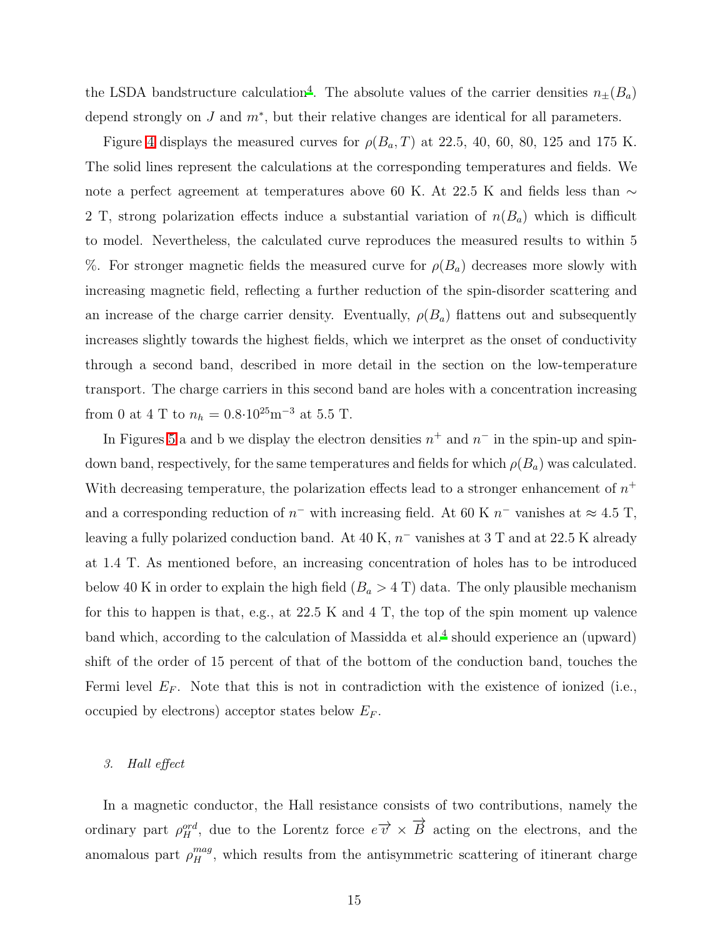the LSDA bandstructure calculation<sup>[4](#page-22-4)</sup>. The absolute values of the carrier densities  $n_{\pm}(B_a)$ depend strongly on J and m<sup>∗</sup> , but their relative changes are identical for all parameters.

Figure [4](#page-27-0) displays the measured curves for  $\rho(B_a, T)$  at 22.5, 40, 60, 80, 125 and 175 K. The solid lines represent the calculations at the corresponding temperatures and fields. We note a perfect agreement at temperatures above 60 K. At 22.5 K and fields less than  $\sim$ 2 T, strong polarization effects induce a substantial variation of  $n(B_a)$  which is difficult to model. Nevertheless, the calculated curve reproduces the measured results to within 5 %. For stronger magnetic fields the measured curve for  $\rho(B_a)$  decreases more slowly with increasing magnetic field, reflecting a further reduction of the spin-disorder scattering and an increase of the charge carrier density. Eventually,  $\rho(B_a)$  flattens out and subsequently increases slightly towards the highest fields, which we interpret as the onset of conductivity through a second band, described in more detail in the section on the low-temperature transport. The charge carriers in this second band are holes with a concentration increasing from 0 at 4 T to  $n_h = 0.8 \cdot 10^{25} \text{m}^{-3}$  at 5.5 T.

In Figures [5](#page-28-0) a and b we display the electron densities  $n^+$  and  $n^-$  in the spin-up and spindown band, respectively, for the same temperatures and fields for which  $\rho(B_a)$  was calculated. With decreasing temperature, the polarization effects lead to a stronger enhancement of  $n^+$ and a corresponding reduction of  $n^-$  with increasing field. At 60 K  $n^-$  vanishes at  $\approx 4.5$  T, leaving a fully polarized conduction band. At 40 K,  $n<sup>-</sup>$  vanishes at 3 T and at 22.5 K already at 1.4 T. As mentioned before, an increasing concentration of holes has to be introduced below 40 K in order to explain the high field  $(B_a > 4 \text{ T})$  data. The only plausible mechanism for this to happen is that, e.g., at 22.5 K and 4 T, the top of the spin moment up valence band which, according to the calculation of Massidda et  $al.4$  $al.4$  should experience an (upward) shift of the order of 15 percent of that of the bottom of the conduction band, touches the Fermi level  $E_F$ . Note that this is not in contradiction with the existence of ionized (i.e., occupied by electrons) acceptor states below  $E_F$ .

#### 3. Hall effect

In a magnetic conductor, the Hall resistance consists of two contributions, namely the ordinary part  $\rho_H^{ord}$ , due to the Lorentz force  $e \overrightarrow{v} \times \overrightarrow{B}$  acting on the electrons, and the anomalous part  $\rho_H^{mag}$ , which results from the antisymmetric scattering of itinerant charge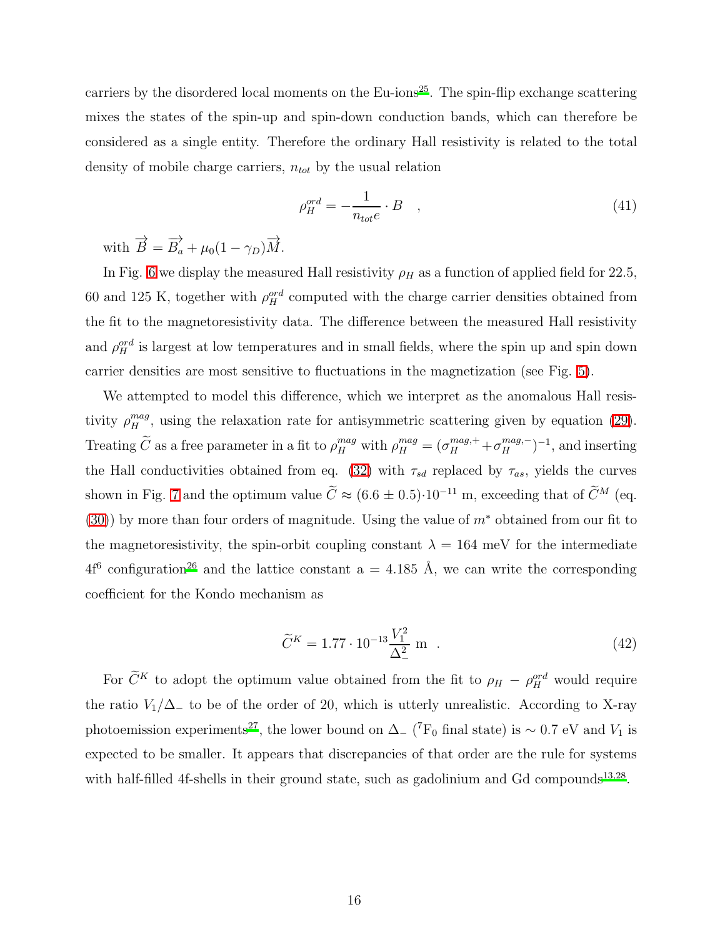carriers by the disordered local moments on the Eu-ions<sup>[25](#page-23-2)</sup>. The spin-flip exchange scattering mixes the states of the spin-up and spin-down conduction bands, which can therefore be considered as a single entity. Therefore the ordinary Hall resistivity is related to the total density of mobile charge carriers,  $n_{tot}$  by the usual relation

$$
\rho_H^{ord} = -\frac{1}{n_{tot}e} \cdot B \quad , \tag{41}
$$

with  $\overrightarrow{B} = \overrightarrow{B_a} + \mu_0 (1 - \gamma_D) \overrightarrow{M}$ .

In Fig. [6](#page-29-0) we display the measured Hall resistivity  $\rho_H$  as a function of applied field for 22.5, 60 and 125 K, together with  $\rho_H^{ord}$  computed with the charge carrier densities obtained from the fit to the magnetoresistivity data. The difference between the measured Hall resistivity and  $\rho_H^{ord}$  is largest at low temperatures and in small fields, where the spin up and spin down carrier densities are most sensitive to fluctuations in the magnetization (see Fig. [5\)](#page-28-0).

We attempted to model this difference, which we interpret as the anomalous Hall resistivity  $\rho_H^{mag}$ , using the relaxation rate for antisymmetric scattering given by equation [\(29\)](#page-10-0). Treating  $\tilde{C}$  as a free parameter in a fit to  $\rho_H^{mag}$  with  $\rho_H^{mag} = (\sigma_H^{mag,+} + \sigma_H^{mag,-})^{-1}$ , and inserting the Hall conductivities obtained from eq. [\(32\)](#page-11-0) with  $\tau_{sd}$  replaced by  $\tau_{as}$ , yields the curves shown in Fig. [7](#page-30-0) and the optimum value  $\widetilde{C} \approx (6.6 \pm 0.5) \cdot 10^{-11}$  m, exceeding that of  $\widetilde{C}^M$  (eq. [\(30\)](#page-10-1)) by more than four orders of magnitude. Using the value of  $m^*$  obtained from our fit to the magnetoresistivity, the spin-orbit coupling constant  $\lambda = 164$  meV for the intermediate  $4f<sup>6</sup>$  configuration<sup>[26](#page-23-3)</sup> and the lattice constant a = 4.185 Å, we can write the corresponding coefficient for the Kondo mechanism as

$$
\widetilde{C}^K = 1.77 \cdot 10^{-13} \frac{V_1^2}{\Delta_{-}^2} \text{ m} \quad . \tag{42}
$$

For  $\tilde{C}^K$  to adopt the optimum value obtained from the fit to  $\rho_H - \rho_H^{ord}$  would require the ratio  $V_1/\Delta_-$  to be of the order of 20, which is utterly unrealistic. According to X-ray photoemission experiments<sup>[27](#page-23-4)</sup>, the lower bound on  $\Delta$ <sub>−</sub> (<sup>7</sup>F<sub>0</sub> final state) is ~ 0.7 eV and  $V_1$  is expected to be smaller. It appears that discrepancies of that order are the rule for systems with half-filled 4f-shells in their ground state, such as gadolinium and Gd compounds<sup>[13](#page-22-13)[,28](#page-23-5)</sup>.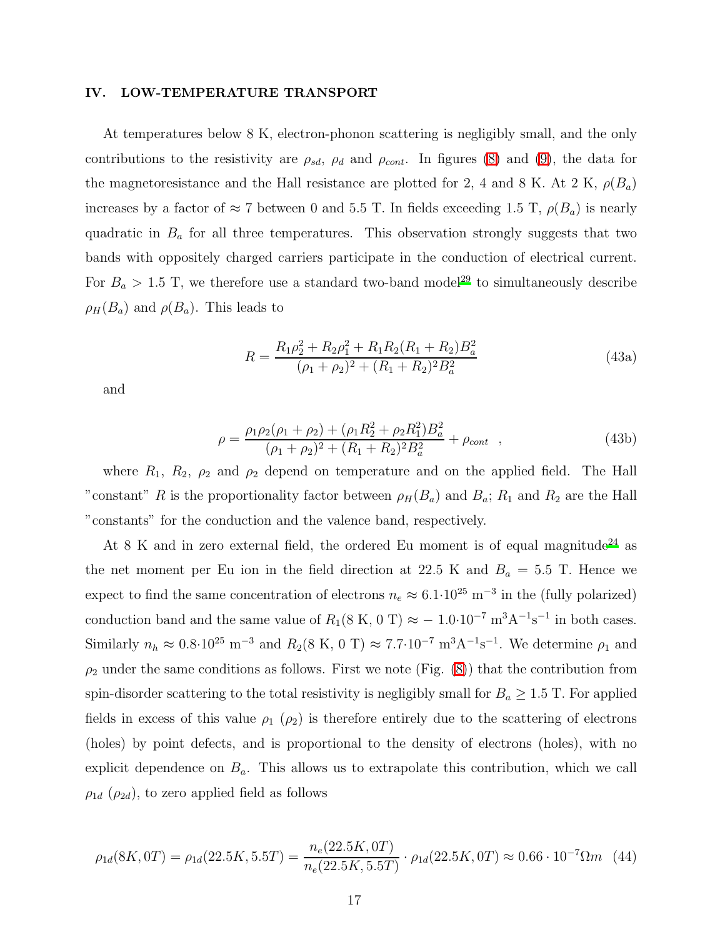#### IV. LOW-TEMPERATURE TRANSPORT

At temperatures below 8 K, electron-phonon scattering is negligibly small, and the only contributions to the resistivity are  $\rho_{sd}$ ,  $\rho_d$  and  $\rho_{cont}$ . In figures [\(8\)](#page-31-0) and [\(9\)](#page-32-0), the data for the magnetoresistance and the Hall resistance are plotted for 2, 4 and 8 K. At 2 K,  $\rho(B_a)$ increases by a factor of  $\approx$  7 between 0 and 5.5 T. In fields exceeding 1.5 T,  $\rho(B_a)$  is nearly quadratic in  $B_a$  for all three temperatures. This observation strongly suggests that two bands with oppositely charged carriers participate in the conduction of electrical current. For  $B_a > 1.5$  T, we therefore use a standard two-band model<sup>[29](#page-23-6)</sup> to simultaneously describe  $\rho_H(B_a)$  and  $\rho(B_a)$ . This leads to

<span id="page-17-1"></span><span id="page-17-0"></span>
$$
R = \frac{R_1 \rho_2^2 + R_2 \rho_1^2 + R_1 R_2 (R_1 + R_2) B_a^2}{(\rho_1 + \rho_2)^2 + (R_1 + R_2)^2 B_a^2}
$$
(43a)

and

$$
\rho = \frac{\rho_1 \rho_2 (\rho_1 + \rho_2) + (\rho_1 R_2^2 + \rho_2 R_1^2) B_a^2}{(\rho_1 + \rho_2)^2 + (R_1 + R_2)^2 B_a^2} + \rho_{cont} ,
$$
\n(43b)

where  $R_1, R_2, \rho_2$  and  $\rho_2$  depend on temperature and on the applied field. The Hall "constant" R is the proportionality factor between  $\rho_H(B_a)$  and  $B_a$ ;  $R_1$  and  $R_2$  are the Hall "constants" for the conduction and the valence band, respectively.

At 8 K and in zero external field, the ordered Eu moment is of equal magnitude<sup>[24](#page-23-1)</sup> as the net moment per Eu ion in the field direction at 22.5 K and  $B_a = 5.5$  T. Hence we expect to find the same concentration of electrons  $n_e \approx 6.1 \cdot 10^{25} \text{ m}^{-3}$  in the (fully polarized) conduction band and the same value of  $R_1(8 \text{ K}, 0 \text{ T}) \approx -1.0 \cdot 10^{-7} \text{ m}^3 \text{A}^{-1} \text{s}^{-1}$  in both cases. Similarly  $n_h \approx 0.8 \cdot 10^{25} \text{ m}^{-3}$  and  $R_2(8 \text{ K}, 0 \text{ T}) \approx 7.7 \cdot 10^{-7} \text{ m}^3 \text{A}^{-1} \text{s}^{-1}$ . We determine  $\rho_1$  and  $\rho_2$  under the same conditions as follows. First we note (Fig. [\(8\)](#page-31-0)) that the contribution from spin-disorder scattering to the total resistivity is negligibly small for  $B_a \geq 1.5$  T. For applied fields in excess of this value  $\rho_1$  ( $\rho_2$ ) is therefore entirely due to the scattering of electrons (holes) by point defects, and is proportional to the density of electrons (holes), with no explicit dependence on  $B_a$ . This allows us to extrapolate this contribution, which we call  $\rho_{1d}$  ( $\rho_{2d}$ ), to zero applied field as follows

$$
\rho_{1d}(8K,0T) = \rho_{1d}(22.5K,5.5T) = \frac{n_e(22.5K,0T)}{n_e(22.5K,5.5T)} \cdot \rho_{1d}(22.5K,0T) \approx 0.66 \cdot 10^{-7} \Omega m \tag{44}
$$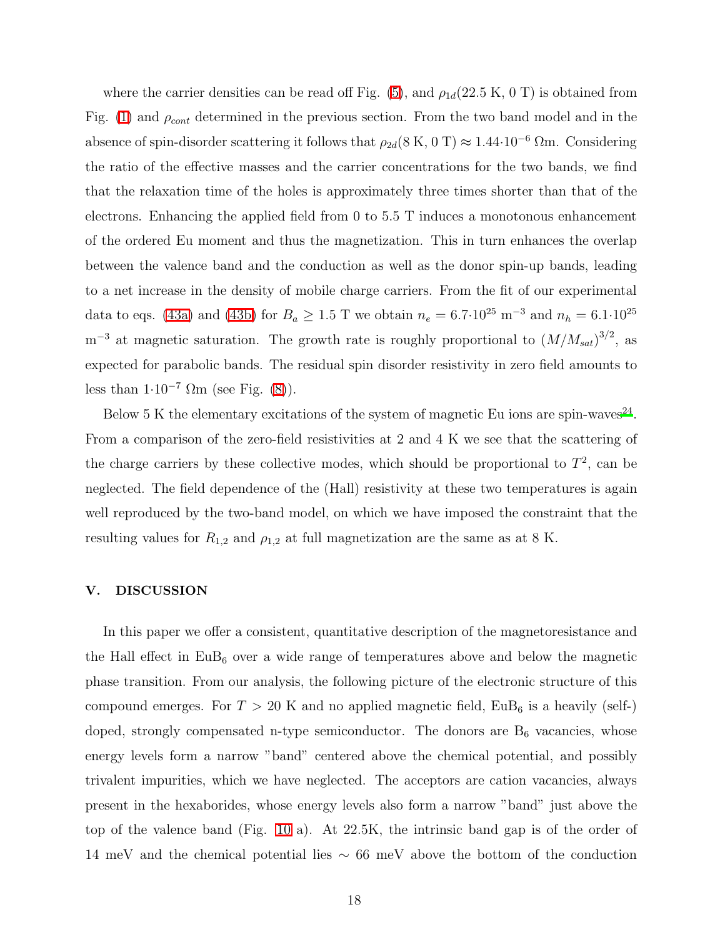where the carrier densities can be read off Fig. [\(5\)](#page-28-0), and  $\rho_{1d}(22.5 \text{ K}, 0 \text{ T})$  is obtained from Fig. [\(1\)](#page-24-0) and  $\rho_{cont}$  determined in the previous section. From the two band model and in the absence of spin-disorder scattering it follows that  $\rho_{2d}(8\text{ K}, 0\text{ T}) \approx 1.44\cdot 10^{-6} \Omega \text{m}$ . Considering the ratio of the effective masses and the carrier concentrations for the two bands, we find that the relaxation time of the holes is approximately three times shorter than that of the electrons. Enhancing the applied field from 0 to 5.5 T induces a monotonous enhancement of the ordered Eu moment and thus the magnetization. This in turn enhances the overlap between the valence band and the conduction as well as the donor spin-up bands, leading to a net increase in the density of mobile charge carriers. From the fit of our experimental data to eqs. [\(43a\)](#page-17-0) and [\(43b\)](#page-17-1) for  $B_a \ge 1.5$  T we obtain  $n_e = 6.7 \cdot 10^{25}$  m<sup>-3</sup> and  $n_h = 6.1 \cdot 10^{25}$  $m^{-3}$  at magnetic saturation. The growth rate is roughly proportional to  $(M/M_{sat})^{3/2}$ , as expected for parabolic bands. The residual spin disorder resistivity in zero field amounts to less than  $1.10^{-7}$   $\Omega$ m (see Fig. [\(8\)](#page-31-0)).

Below 5 K the elementary excitations of the system of magnetic Eu ions are spin-waves<sup>[24](#page-23-1)</sup>. From a comparison of the zero-field resistivities at 2 and 4 K we see that the scattering of the charge carriers by these collective modes, which should be proportional to  $T^2$ , can be neglected. The field dependence of the (Hall) resistivity at these two temperatures is again well reproduced by the two-band model, on which we have imposed the constraint that the resulting values for  $R_{1,2}$  and  $\rho_{1,2}$  at full magnetization are the same as at 8 K.

#### V. DISCUSSION

In this paper we offer a consistent, quantitative description of the magnetoresistance and the Hall effect in  $EuB<sub>6</sub>$  over a wide range of temperatures above and below the magnetic phase transition. From our analysis, the following picture of the electronic structure of this compound emerges. For  $T > 20$  K and no applied magnetic field,  $E \alpha B_6$  is a heavily (self-) doped, strongly compensated n-type semiconductor. The donors are  $B_6$  vacancies, whose energy levels form a narrow "band" centered above the chemical potential, and possibly trivalent impurities, which we have neglected. The acceptors are cation vacancies, always present in the hexaborides, whose energy levels also form a narrow "band" just above the top of the valence band (Fig. [10](#page-33-0) a). At 22.5K, the intrinsic band gap is of the order of 14 meV and the chemical potential lies ∼ 66 meV above the bottom of the conduction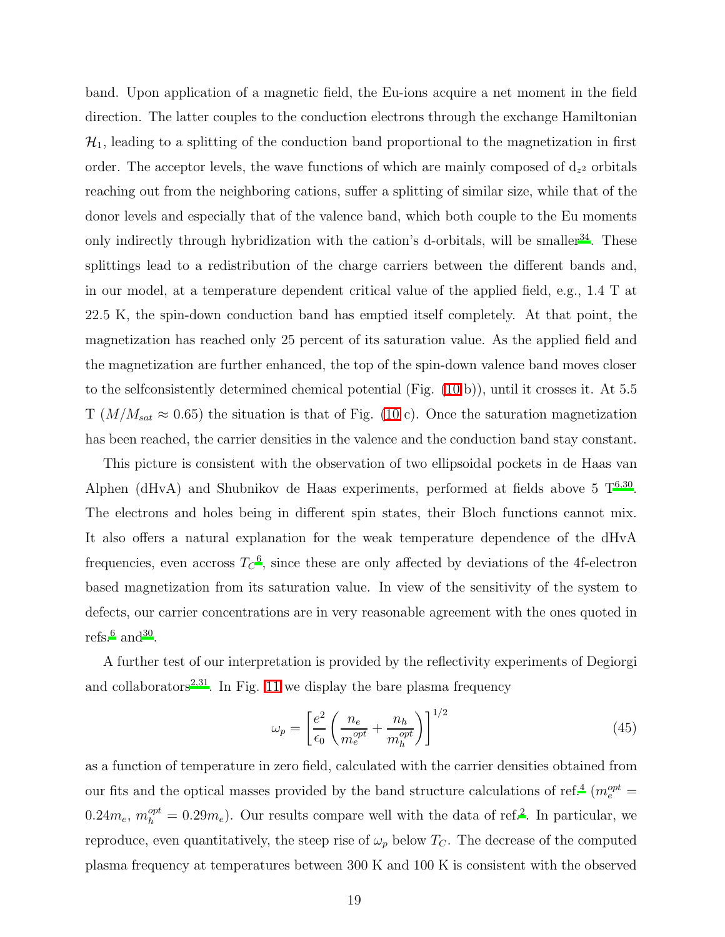band. Upon application of a magnetic field, the Eu-ions acquire a net moment in the field direction. The latter couples to the conduction electrons through the exchange Hamiltonian  $\mathcal{H}_1$ , leading to a splitting of the conduction band proportional to the magnetization in first order. The acceptor levels, the wave functions of which are mainly composed of  $d_{z^2}$  orbitals reaching out from the neighboring cations, suffer a splitting of similar size, while that of the donor levels and especially that of the valence band, which both couple to the Eu moments only indirectly through hybridization with the cation's d-orbitals, will be smaller  $34$ . These splittings lead to a redistribution of the charge carriers between the different bands and, in our model, at a temperature dependent critical value of the applied field, e.g., 1.4 T at 22.5 K, the spin-down conduction band has emptied itself completely. At that point, the magnetization has reached only 25 percent of its saturation value. As the applied field and the magnetization are further enhanced, the top of the spin-down valence band moves closer to the selfconsistently determined chemical potential (Fig. [\(10](#page-33-0) b)), until it crosses it. At 5.5 T ( $M/M_{sat} \approx 0.65$ ) the situation is that of Fig. [\(10](#page-33-0) c). Once the saturation magnetization has been reached, the carrier densities in the valence and the conduction band stay constant.

This picture is consistent with the observation of two ellipsoidal pockets in de Haas van Alphen (dHvA) and Shubnikov de Haas experiments, performed at fields above  $5 T^{6,30}$  $5 T^{6,30}$  $5 T^{6,30}$  $5 T^{6,30}$ . The electrons and holes being in different spin states, their Bloch functions cannot mix. It also offers a natural explanation for the weak temperature dependence of the dHvA frequencies, even accross  $T_C^6$  $T_C^6$ , since these are only affected by deviations of the 4f-electron based magnetization from its saturation value. In view of the sensitivity of the system to defects, our carrier concentrations are in very reasonable agreement with the ones quoted in refs.<sup>[6](#page-22-6)</sup> and<sup>[30](#page-23-8)</sup>.

A further test of our interpretation is provided by the reflectivity experiments of Degiorgi and collaborators<sup>[2](#page-22-2)[,31](#page-23-9)</sup>. In Fig. [11](#page-34-0) we display the bare plasma frequency

<span id="page-19-0"></span>
$$
\omega_p = \left[\frac{e^2}{\epsilon_0} \left(\frac{n_e}{m_e^{opt}} + \frac{n_h}{m_h^{opt}}\right)\right]^{1/2} \tag{45}
$$

as a function of temperature in zero field, calculated with the carrier densities obtained from our fits and the optical masses provided by the band structure calculations of ref.<sup>[4](#page-22-4)</sup> ( $m_e^{opt}$ )  $0.24m_e$  $0.24m_e$  $0.24m_e$ ,  $m_h^{opt} = 0.29m_e$ ). Our results compare well with the data of ref.<sup>2</sup>. In particular, we reproduce, even quantitatively, the steep rise of  $\omega_p$  below  $T_C$ . The decrease of the computed plasma frequency at temperatures between 300 K and 100 K is consistent with the observed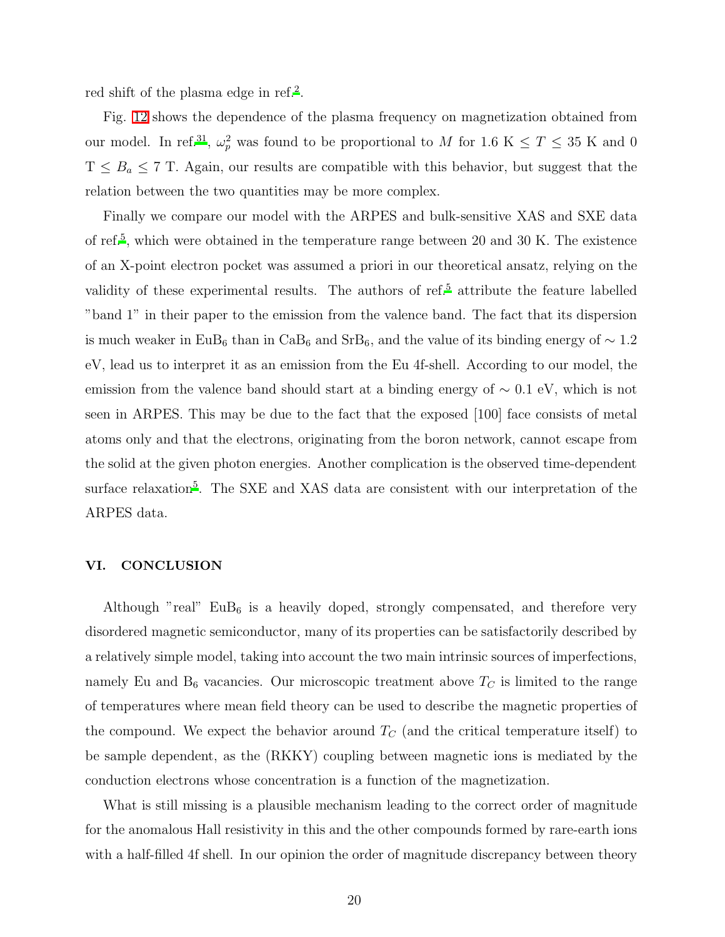red shift of the plasma edge in ref.<sup>[2](#page-22-2)</sup>.

Fig. [12](#page-35-0) shows the dependence of the plasma frequency on magnetization obtained from our model. In ref.<sup>[31](#page-23-9)</sup>,  $\omega_p^2$  was found to be proportional to M for 1.6 K  $\leq T \leq 35$  K and 0  $T \leq B_a \leq 7$  T. Again, our results are compatible with this behavior, but suggest that the relation between the two quantities may be more complex.

Finally we compare our model with the ARPES and bulk-sensitive XAS and SXE data of ref.[5](#page-22-5) , which were obtained in the temperature range between 20 and 30 K. The existence of an X-point electron pocket was assumed a priori in our theoretical ansatz, relying on the validity of these experimental results. The authors of ref.<sup>[5](#page-22-5)</sup> attribute the feature labelled "band 1" in their paper to the emission from the valence band. The fact that its dispersion is much weaker in EuB<sub>6</sub> than in CaB<sub>6</sub> and SrB<sub>6</sub>, and the value of its binding energy of  $\sim 1.2$ eV, lead us to interpret it as an emission from the Eu 4f-shell. According to our model, the emission from the valence band should start at a binding energy of  $\sim 0.1$  eV, which is not seen in ARPES. This may be due to the fact that the exposed [100] face consists of metal atoms only and that the electrons, originating from the boron network, cannot escape from the solid at the given photon energies. Another complication is the observed time-dependent surface relaxation<sup>[5](#page-22-5)</sup>. The SXE and XAS data are consistent with our interpretation of the ARPES data.

## VI. CONCLUSION

Although "real"  $EuB<sub>6</sub>$  is a heavily doped, strongly compensated, and therefore very disordered magnetic semiconductor, many of its properties can be satisfactorily described by a relatively simple model, taking into account the two main intrinsic sources of imperfections, namely Eu and  $B_6$  vacancies. Our microscopic treatment above  $T_C$  is limited to the range of temperatures where mean field theory can be used to describe the magnetic properties of the compound. We expect the behavior around  $T_C$  (and the critical temperature itself) to be sample dependent, as the (RKKY) coupling between magnetic ions is mediated by the conduction electrons whose concentration is a function of the magnetization.

What is still missing is a plausible mechanism leading to the correct order of magnitude for the anomalous Hall resistivity in this and the other compounds formed by rare-earth ions with a half-filled 4f shell. In our opinion the order of magnitude discrepancy between theory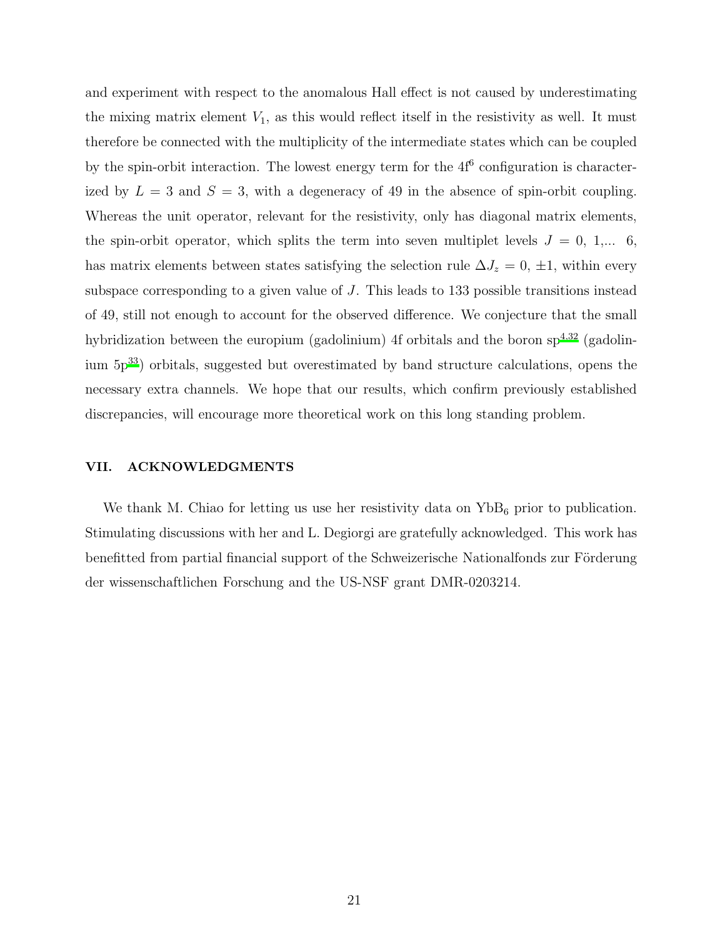and experiment with respect to the anomalous Hall effect is not caused by underestimating the mixing matrix element  $V_1$ , as this would reflect itself in the resistivity as well. It must therefore be connected with the multiplicity of the intermediate states which can be coupled by the spin-orbit interaction. The lowest energy term for the  $4f<sup>6</sup>$  configuration is characterized by  $L = 3$  and  $S = 3$ , with a degeneracy of 49 in the absence of spin-orbit coupling. Whereas the unit operator, relevant for the resistivity, only has diagonal matrix elements, the spin-orbit operator, which splits the term into seven multiplet levels  $J = 0, 1,..., 6$ , has matrix elements between states satisfying the selection rule  $\Delta J_z = 0, \pm 1$ , within every subspace corresponding to a given value of J. This leads to 133 possible transitions instead of 49, still not enough to account for the observed difference. We conjecture that the small hybridization between the europium (gadolinium) [4](#page-22-4)f orbitals and the boron  $sp^{4,32}$  $sp^{4,32}$  $sp^{4,32}$  (gadolinium 5p[33](#page-23-11)) orbitals, suggested but overestimated by band structure calculations, opens the necessary extra channels. We hope that our results, which confirm previously established discrepancies, will encourage more theoretical work on this long standing problem.

### VII. ACKNOWLEDGMENTS

We thank M. Chiao for letting us use her resistivity data on  $YbB<sub>6</sub>$  prior to publication. Stimulating discussions with her and L. Degiorgi are gratefully acknowledged. This work has benefitted from partial financial support of the Schweizerische Nationalfonds zur Förderung der wissenschaftlichen Forschung and the US-NSF grant DMR-0203214.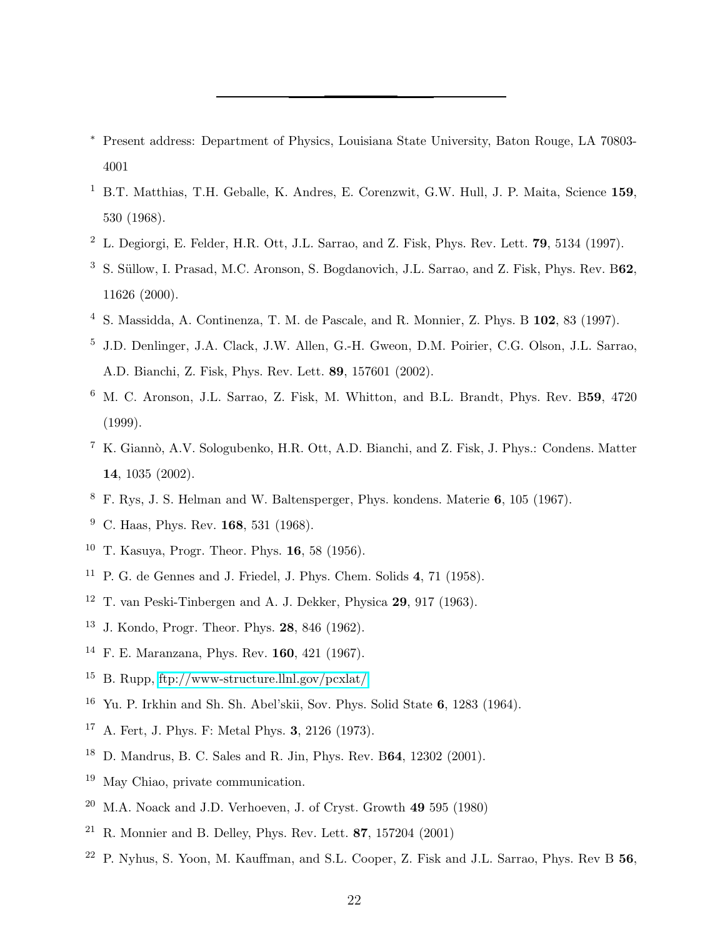- <span id="page-22-0"></span><sup>∗</sup> Present address: Department of Physics, Louisiana State University, Baton Rouge, LA 70803- 4001
- <span id="page-22-1"></span><sup>1</sup> B.T. Matthias, T.H. Geballe, K. Andres, E. Corenzwit, G.W. Hull, J. P. Maita, Science 159, 530 (1968).
- <span id="page-22-2"></span><sup>2</sup> L. Degiorgi, E. Felder, H.R. Ott, J.L. Sarrao, and Z. Fisk, Phys. Rev. Lett. **79**, 5134 (1997).
- <span id="page-22-3"></span><sup>3</sup> S. Süllow, I. Prasad, M.C. Aronson, S. Bogdanovich, J.L. Sarrao, and Z. Fisk, Phys. Rev. B62. 11626 (2000).
- <span id="page-22-4"></span><sup>4</sup> S. Massidda, A. Continenza, T. M. de Pascale, and R. Monnier, Z. Phys. B 102, 83 (1997).
- <span id="page-22-5"></span><sup>5</sup> J.D. Denlinger, J.A. Clack, J.W. Allen, G.-H. Gweon, D.M. Poirier, C.G. Olson, J.L. Sarrao, A.D. Bianchi, Z. Fisk, Phys. Rev. Lett. 89, 157601 (2002).
- <span id="page-22-6"></span><sup>6</sup> M. C. Aronson, J.L. Sarrao, Z. Fisk, M. Whitton, and B.L. Brandt, Phys. Rev. B59, 4720 (1999).
- <span id="page-22-7"></span><sup>7</sup> K. Giannò, A.V. Sologubenko, H.R. Ott, A.D. Bianchi, and Z. Fisk, J. Phys.: Condens. Matter 14, 1035 (2002).
- <span id="page-22-8"></span><sup>8</sup> F. Rys, J. S. Helman and W. Baltensperger, Phys. kondens. Materie 6, 105 (1967).
- <span id="page-22-9"></span><sup>9</sup> C. Haas, Phys. Rev. **168**, 531 (1968).
- <span id="page-22-10"></span><sup>10</sup> T. Kasuya, Progr. Theor. Phys. 16, 58 (1956).
- <span id="page-22-11"></span><sup>11</sup> P. G. de Gennes and J. Friedel, J. Phys. Chem. Solids 4, 71 (1958).
- <span id="page-22-12"></span><sup>12</sup> T. van Peski-Tinbergen and A. J. Dekker, Physica **29**, 917 (1963).
- <span id="page-22-13"></span><sup>13</sup> J. Kondo, Progr. Theor. Phys. 28, 846 (1962).
- <span id="page-22-14"></span><sup>14</sup> F. E. Maranzana, Phys. Rev. 160, 421 (1967).
- <span id="page-22-15"></span> $^{15}\,$  B. Rupp,<ftp://www-structure.llnl.gov/pcxlat/>
- <span id="page-22-16"></span><sup>16</sup> Yu. P. Irkhin and Sh. Sh. Abel'skii, Sov. Phys. Solid State 6, 1283 (1964).
- <span id="page-22-17"></span><sup>17</sup> A. Fert, J. Phys. F: Metal Phys. **3**, 2126 (1973).
- <span id="page-22-18"></span><sup>18</sup> D. Mandrus, B. C. Sales and R. Jin, Phys. Rev. B64, 12302 (2001).
- <span id="page-22-19"></span><sup>19</sup> May Chiao, private communication.
- <span id="page-22-20"></span> $20$  M.A. Noack and J.D. Verhoeven, J. of Cryst. Growth 49 595 (1980)
- <span id="page-22-21"></span> $21$  R. Monnier and B. Delley, Phys. Rev. Lett. 87, 157204 (2001)
- <span id="page-22-22"></span><sup>22</sup> P. Nyhus, S. Yoon, M. Kauffman, and S.L. Cooper, Z. Fisk and J.L. Sarrao, Phys. Rev B 56,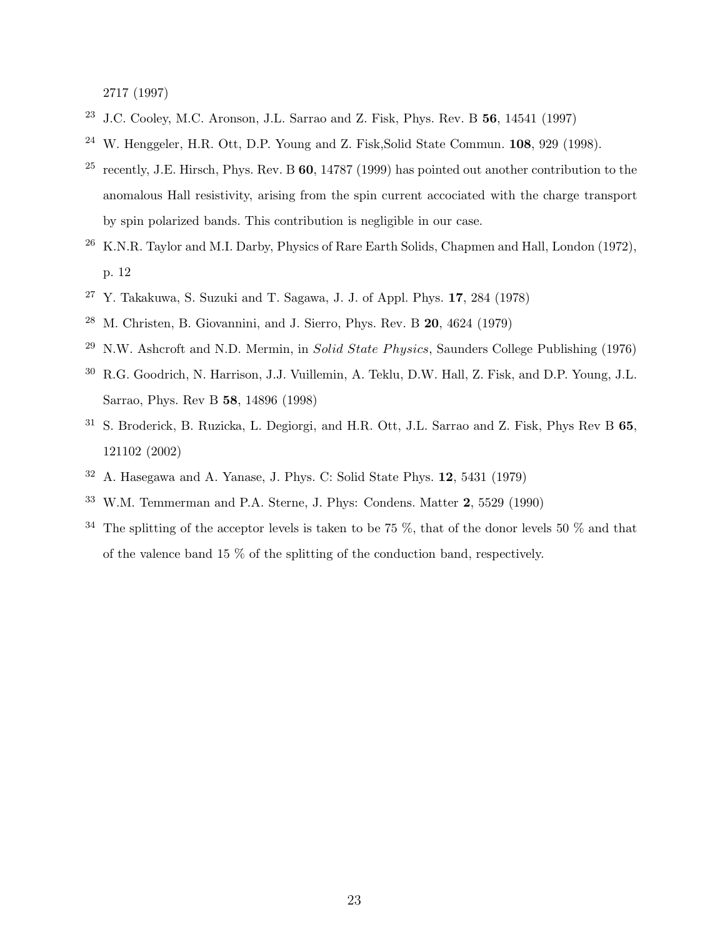2717 (1997)

- <span id="page-23-0"></span> $23$  J.C. Cooley, M.C. Aronson, J.L. Sarrao and Z. Fisk, Phys. Rev. B 56, 14541 (1997)
- <span id="page-23-1"></span><sup>24</sup> W. Henggeler, H.R. Ott, D.P. Young and Z. Fisk,Solid State Commun. 108, 929 (1998).
- <span id="page-23-2"></span> $^{25}$  recently, J.E. Hirsch, Phys. Rev. B 60, 14787 (1999) has pointed out another contribution to the anomalous Hall resistivity, arising from the spin current accociated with the charge transport by spin polarized bands. This contribution is negligible in our case.
- <span id="page-23-3"></span><sup>26</sup> K.N.R. Taylor and M.I. Darby, Physics of Rare Earth Solids, Chapmen and Hall, London (1972), p. 12
- <span id="page-23-4"></span> $27$  Y. Takakuwa, S. Suzuki and T. Sagawa, J. J. of Appl. Phys. 17, 284 (1978)
- <span id="page-23-5"></span> $28$  M. Christen, B. Giovannini, and J. Sierro, Phys. Rev. B 20, 4624 (1979)
- <span id="page-23-6"></span><sup>29</sup> N.W. Ashcroft and N.D. Mermin, in *Solid State Physics*, Saunders College Publishing (1976)
- <span id="page-23-8"></span><sup>30</sup> R.G. Goodrich, N. Harrison, J.J. Vuillemin, A. Teklu, D.W. Hall, Z. Fisk, and D.P. Young, J.L. Sarrao, Phys. Rev B 58, 14896 (1998)
- <span id="page-23-9"></span> $31\,$  S. Broderick, B. Ruzicka, L. Degiorgi, and H.R. Ott, J.L. Sarrao and Z. Fisk, Phys Rev B 65, 121102 (2002)
- <span id="page-23-10"></span> $32$  A. Hasegawa and A. Yanase, J. Phys. C: Solid State Phys.  $12$ , 5431 (1979)
- <span id="page-23-11"></span><sup>33</sup> W.M. Temmerman and P.A. Sterne, J. Phys: Condens. Matter 2, 5529 (1990)
- <span id="page-23-7"></span><sup>34</sup> The splitting of the acceptor levels is taken to be 75 %, that of the donor levels 50 % and that of the valence band 15 % of the splitting of the conduction band, respectively.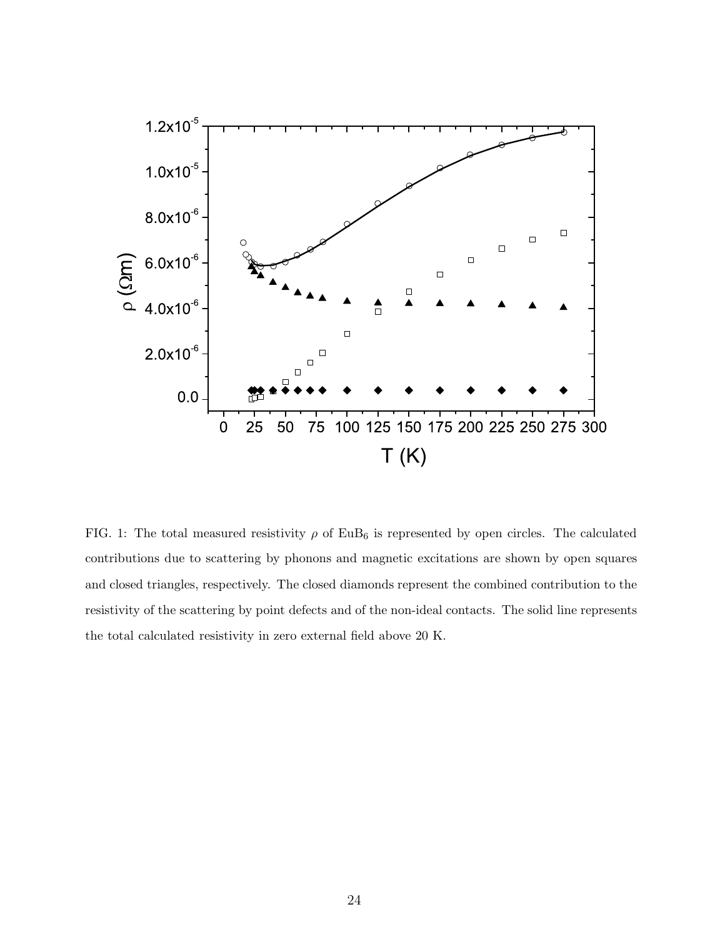

<span id="page-24-0"></span>FIG. 1: The total measured resistivity  $\rho$  of EuB<sub>6</sub> is represented by open circles. The calculated contributions due to scattering by phonons and magnetic excitations are shown by open squares and closed triangles, respectively. The closed diamonds represent the combined contribution to the resistivity of the scattering by point defects and of the non-ideal contacts. The solid line represents the total calculated resistivity in zero external field above 20 K.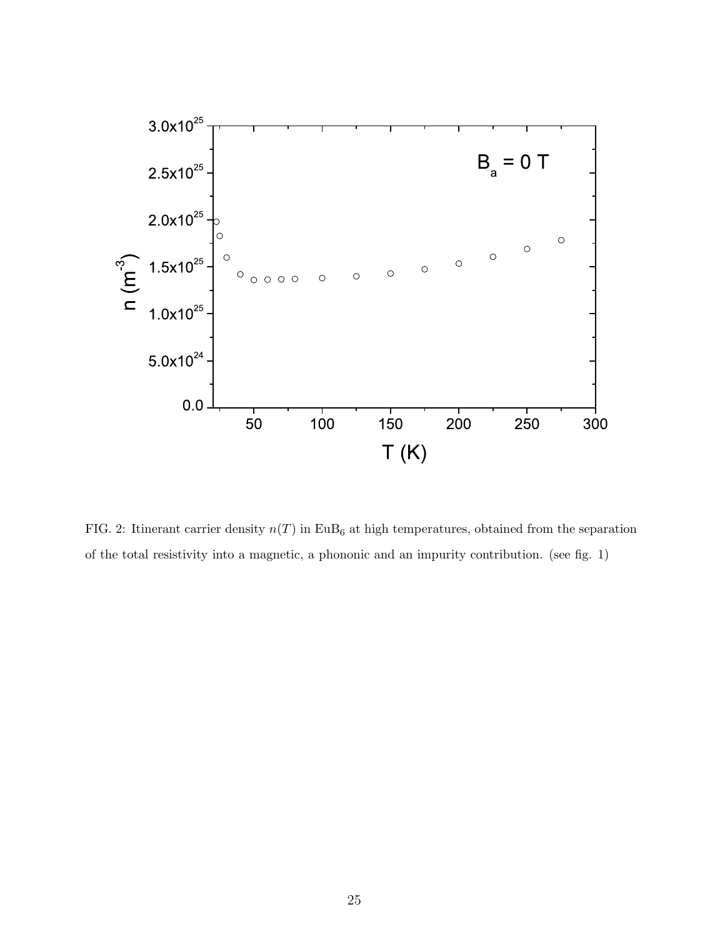

<span id="page-25-0"></span>FIG. 2: Itinerant carrier density  $n(T)$  in EuB<sub>6</sub> at high temperatures, obtained from the separation of the total resistivity into a magnetic, a phononic and an impurity contribution. (see fig. 1)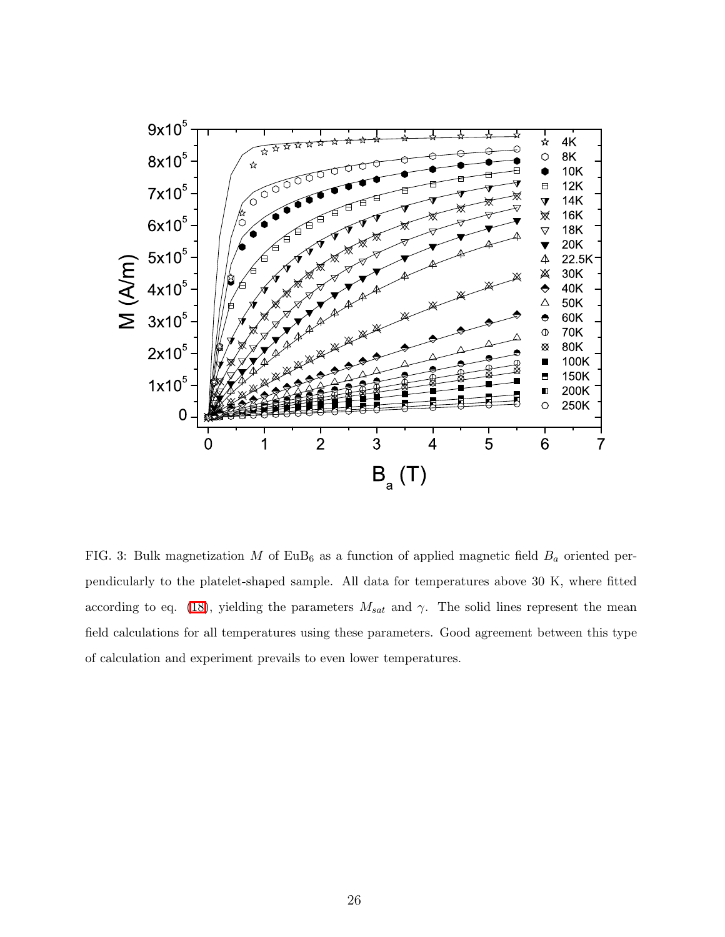

<span id="page-26-0"></span>FIG. 3: Bulk magnetization M of  $EuB_6$  as a function of applied magnetic field  $B_a$  oriented perpendicularly to the platelet-shaped sample. All data for temperatures above 30 K, where fitted according to eq. [\(18\)](#page-8-3), yielding the parameters  $M_{sat}$  and  $\gamma$ . The solid lines represent the mean field calculations for all temperatures using these parameters. Good agreement between this type of calculation and experiment prevails to even lower temperatures.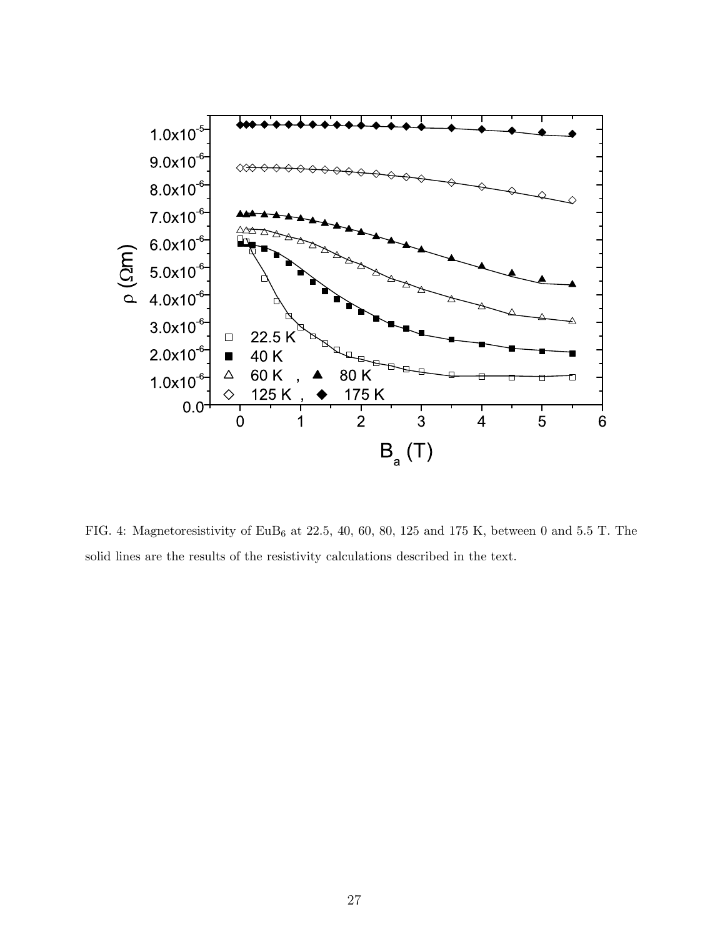

<span id="page-27-0"></span>FIG. 4: Magnetoresistivity of EuB<sub>6</sub> at 22.5, 40, 60, 80, 125 and 175 K, between 0 and 5.5 T. The solid lines are the results of the resistivity calculations described in the text.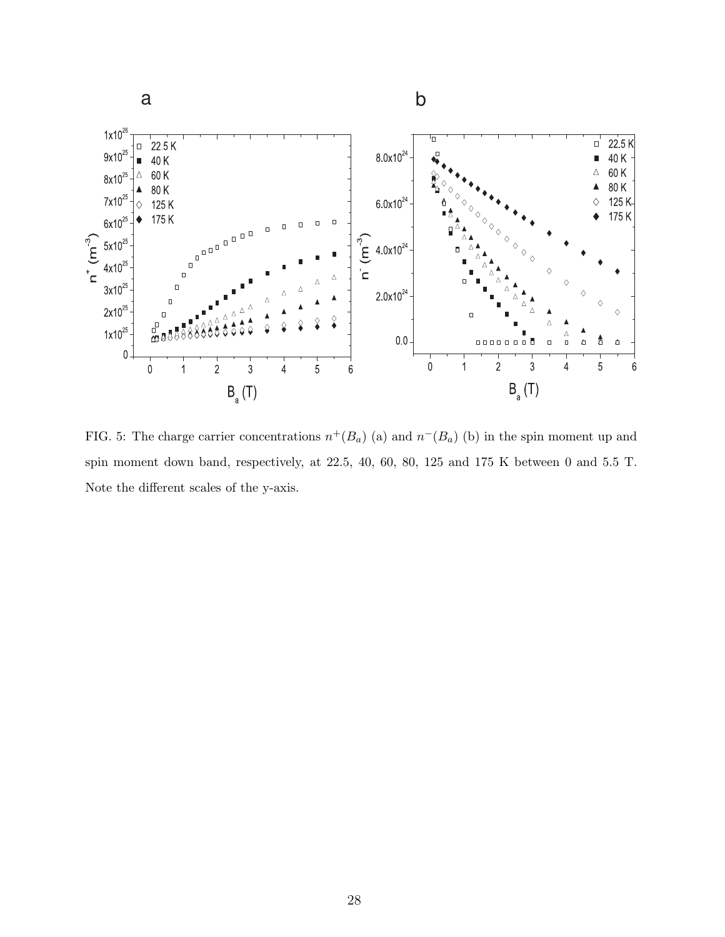

<span id="page-28-0"></span>FIG. 5: The charge carrier concentrations  $n^+(B_a)$  (a) and  $n^-(B_a)$  (b) in the spin moment up and spin moment down band, respectively, at 22.5, 40, 60, 80, 125 and 175 K between 0 and 5.5 T. Note the different scales of the y-axis.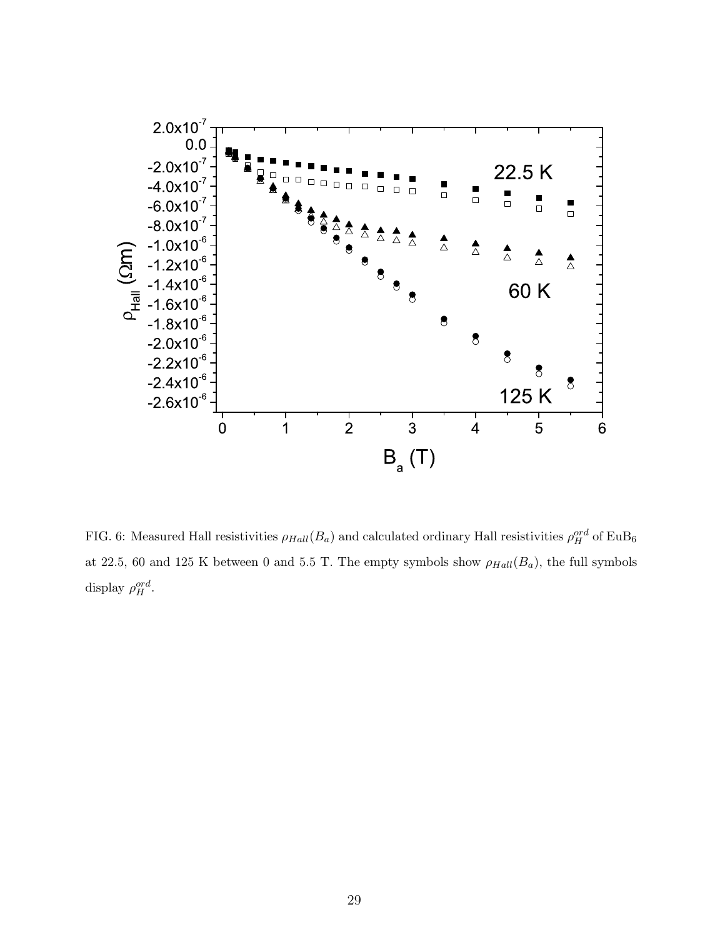

<span id="page-29-0"></span>FIG. 6: Measured Hall resistivities  $\rho_{Hall}(B_a)$  and calculated ordinary Hall resistivities  $\rho_H^{ord}$  of EuB<sub>6</sub> at 22.5, 60 and 125 K between 0 and 5.5 T. The empty symbols show  $\rho_{Hall}(B_a)$ , the full symbols display  $\rho_H^{ord}$ .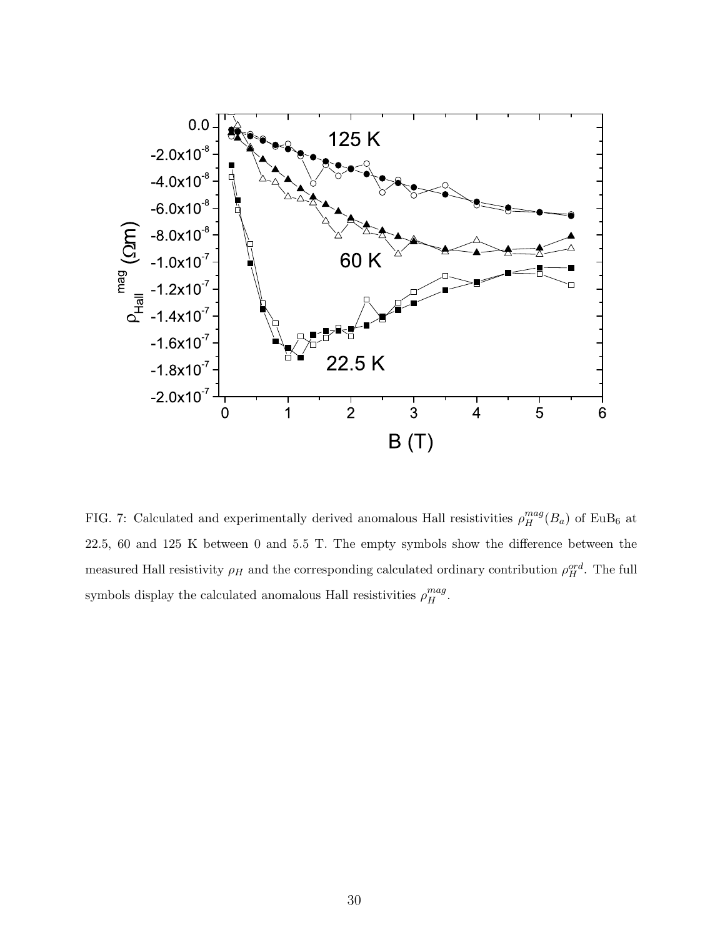

<span id="page-30-0"></span>FIG. 7: Calculated and experimentally derived anomalous Hall resistivities  $\rho_H^{mag}(B_a)$  of EuB<sub>6</sub> at 22.5, 60 and 125 K between 0 and 5.5 T. The empty symbols show the difference between the measured Hall resistivity  $\rho_H$  and the corresponding calculated ordinary contribution  $\rho_H^{ord}$ . The full symbols display the calculated anomalous Hall resistivities  $\rho_H^{mag}$  $_{H}^{mag}.$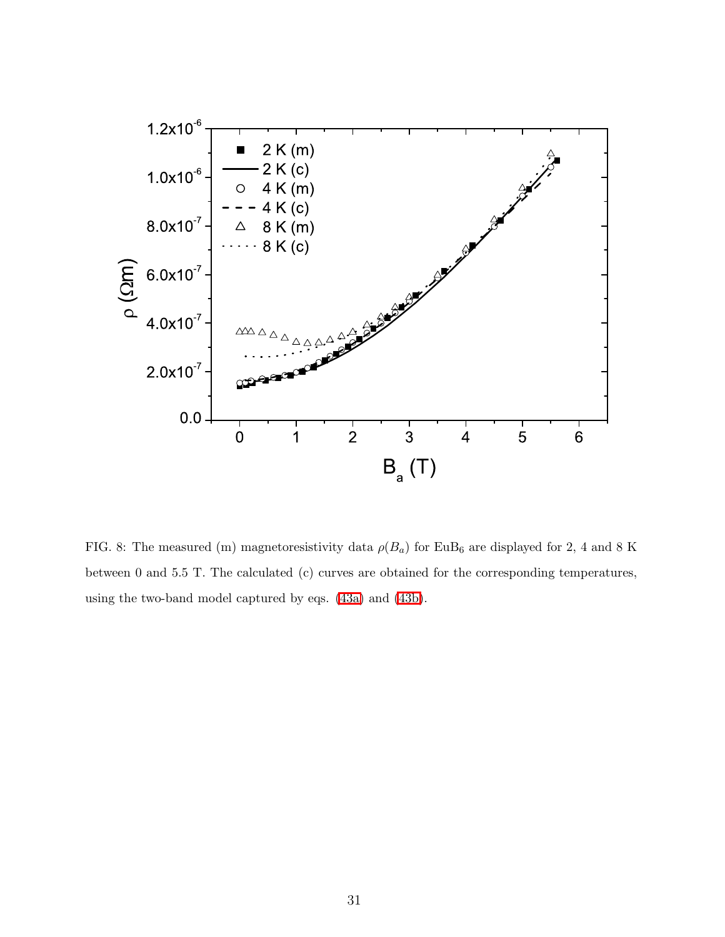

<span id="page-31-0"></span>FIG. 8: The measured (m) magnetoresistivity data  $\rho(B_a)$  for EuB<sub>6</sub> are displayed for 2, 4 and 8 K between 0 and 5.5 T. The calculated (c) curves are obtained for the corresponding temperatures, using the two-band model captured by eqs. [\(43a\)](#page-17-0) and [\(43b\)](#page-17-1).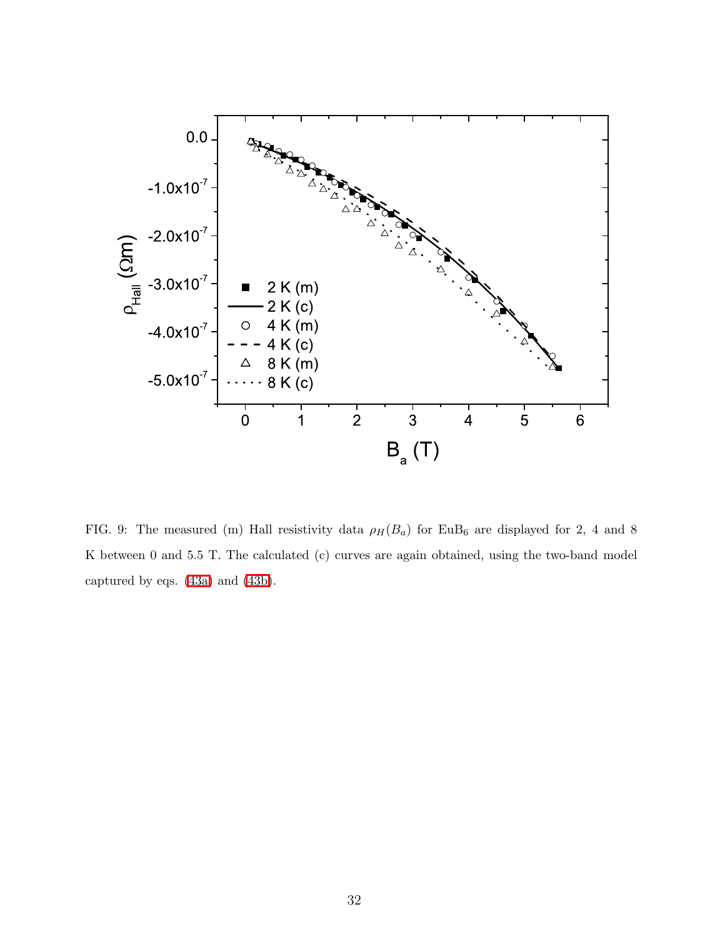

<span id="page-32-0"></span>FIG. 9: The measured (m) Hall resistivity data  $\rho_H(B_a)$  for EuB<sub>6</sub> are displayed for 2, 4 and 8 K between 0 and 5.5 T. The calculated (c) curves are again obtained, using the two-band model captured by eqs. [\(43a\)](#page-17-0) and [\(43b\)](#page-17-1).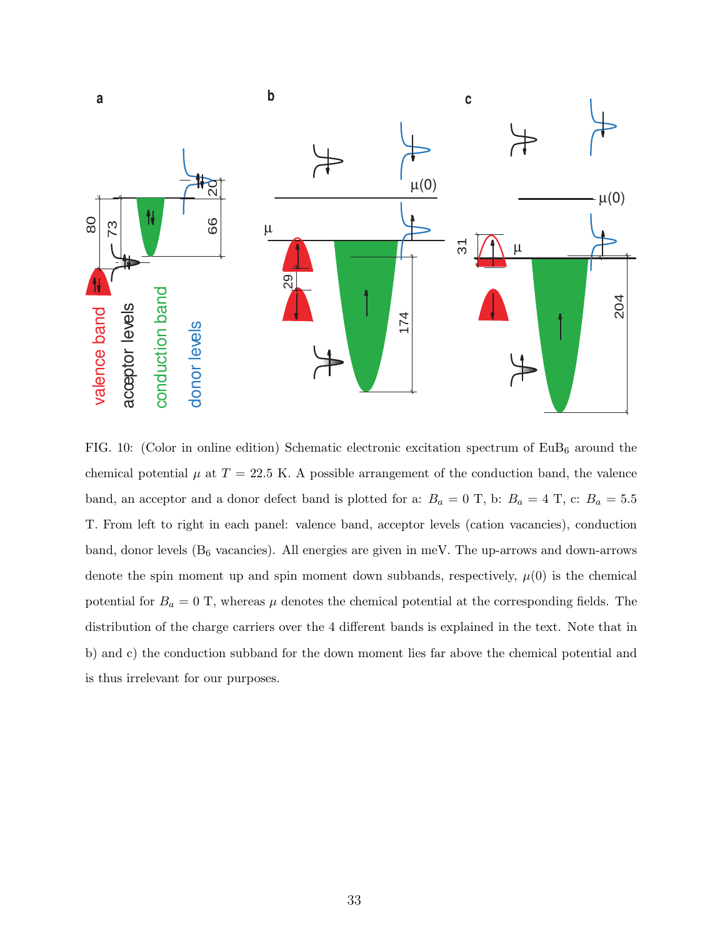

<span id="page-33-0"></span>FIG. 10: (Color in online edition) Schematic electronic excitation spectrum of  $EuB<sub>6</sub>$  around the chemical potential  $\mu$  at  $T = 22.5$  K. A possible arrangement of the conduction band, the valence band, an acceptor and a donor defect band is plotted for a:  $B_a = 0$  T, b:  $B_a = 4$  T, c:  $B_a = 5.5$ T. From left to right in each panel: valence band, acceptor levels (cation vacancies), conduction band, donor levels (B<sup>6</sup> vacancies). All energies are given in meV. The up-arrows and down-arrows denote the spin moment up and spin moment down subbands, respectively,  $\mu(0)$  is the chemical potential for  $B_a = 0$  T, whereas  $\mu$  denotes the chemical potential at the corresponding fields. The distribution of the charge carriers over the 4 different bands is explained in the text. Note that in b) and c) the conduction subband for the down moment lies far above the chemical potential and is thus irrelevant for our purposes.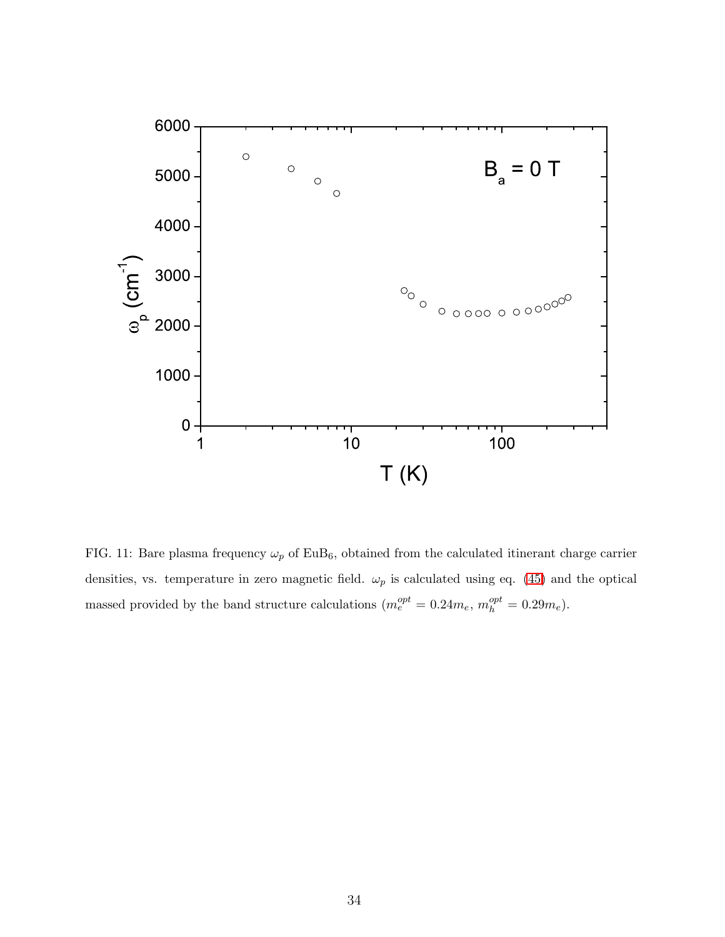

<span id="page-34-0"></span>FIG. 11: Bare plasma frequency  $\omega_p$  of EuB<sub>6</sub>, obtained from the calculated itinerant charge carrier densities, vs. temperature in zero magnetic field.  $\omega_p$  is calculated using eq. [\(45\)](#page-19-0) and the optical massed provided by the band structure calculations  $(m_e^{opt} = 0.24m_e, m_h^{opt} = 0.29m_e)$ .